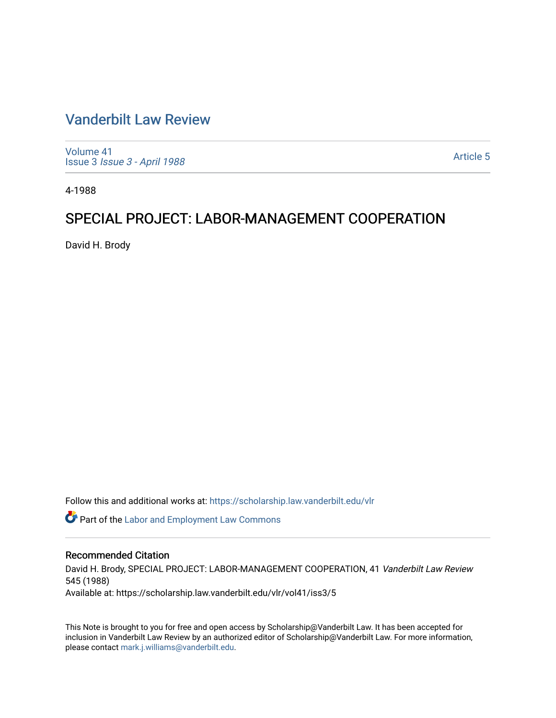# [Vanderbilt Law Review](https://scholarship.law.vanderbilt.edu/vlr)

[Volume 41](https://scholarship.law.vanderbilt.edu/vlr/vol41) Issue 3 [Issue 3 - April 1988](https://scholarship.law.vanderbilt.edu/vlr/vol41/iss3)

[Article 5](https://scholarship.law.vanderbilt.edu/vlr/vol41/iss3/5) 

4-1988

# SPECIAL PROJECT: LABOR-MANAGEMENT COOPERATION

David H. Brody

Follow this and additional works at: [https://scholarship.law.vanderbilt.edu/vlr](https://scholarship.law.vanderbilt.edu/vlr?utm_source=scholarship.law.vanderbilt.edu%2Fvlr%2Fvol41%2Fiss3%2F5&utm_medium=PDF&utm_campaign=PDFCoverPages)

**C** Part of the [Labor and Employment Law Commons](http://network.bepress.com/hgg/discipline/909?utm_source=scholarship.law.vanderbilt.edu%2Fvlr%2Fvol41%2Fiss3%2F5&utm_medium=PDF&utm_campaign=PDFCoverPages)

# Recommended Citation

David H. Brody, SPECIAL PROJECT: LABOR-MANAGEMENT COOPERATION, 41 Vanderbilt Law Review 545 (1988) Available at: https://scholarship.law.vanderbilt.edu/vlr/vol41/iss3/5

This Note is brought to you for free and open access by Scholarship@Vanderbilt Law. It has been accepted for inclusion in Vanderbilt Law Review by an authorized editor of Scholarship@Vanderbilt Law. For more information, please contact [mark.j.williams@vanderbilt.edu.](mailto:mark.j.williams@vanderbilt.edu)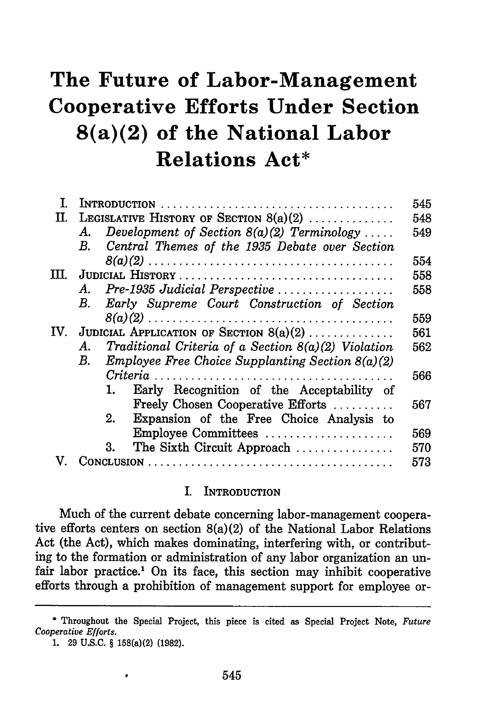# **The Future of Labor-Management Cooperative Efforts Under Section 8(a)(2) of the National Labor Relations Act\***

| I.   | $\textbf{INTRODUCTION} \dots \dots \dots \dots \dots \dots \dots \dots \dots \dots \dots \dots \dots \dots \dots \dots$ |                                                         |
|------|-------------------------------------------------------------------------------------------------------------------------|---------------------------------------------------------|
| TT.  | LEGISLATIVE HISTORY OF SECTION $8(a)(2)$                                                                                |                                                         |
|      | А.                                                                                                                      | Development of Section $8(a)(2)$ Terminology            |
|      | В.                                                                                                                      | Central Themes of the 1935 Debate over Section          |
|      |                                                                                                                         |                                                         |
| TTT. |                                                                                                                         |                                                         |
|      | A.                                                                                                                      | Pre-1935 Judicial Perspective                           |
|      | В.                                                                                                                      | Early Supreme Court Construction of Section             |
|      |                                                                                                                         |                                                         |
| IV.  | JUDICIAL APPLICATION OF SECTION $8(a)(2)$                                                                               |                                                         |
|      | А.                                                                                                                      | Traditional Criteria of a Section $8(a)(2)$ Violation   |
|      | $B_{\cdot}$                                                                                                             | <i>Employee Free Choice Supplanting Section 8(a)(2)</i> |
|      |                                                                                                                         |                                                         |
|      |                                                                                                                         | Early Recognition of the Acceptability of<br>1.         |
|      |                                                                                                                         | Freely Chosen Cooperative Efforts                       |
|      |                                                                                                                         | Expansion of the Free Choice Analysis to<br>2.          |
|      |                                                                                                                         | Employee Committees                                     |
|      |                                                                                                                         | The Sixth Circuit Approach<br>3.                        |
|      |                                                                                                                         |                                                         |
|      |                                                                                                                         |                                                         |

#### I. **INTRODUCTION**

Much of the current debate concerning labor-management cooperative efforts centers on section  $8(a)(2)$  of the National Labor Relations Act (the Act), which makes dominating, interfering with, or contributing to the formation or administration of any labor organization an unfair labor practice.<sup>1</sup> On its face, this section may inhibit cooperative efforts through a prohibition of management support for employee or-

**<sup>\*</sup> Throughout the Special** Project, this piece is cited as Special Project Note, *Future Cooperative Efforts.*

**<sup>1.</sup>** 29 **U.S.C.** § 158(a)(2) (1982).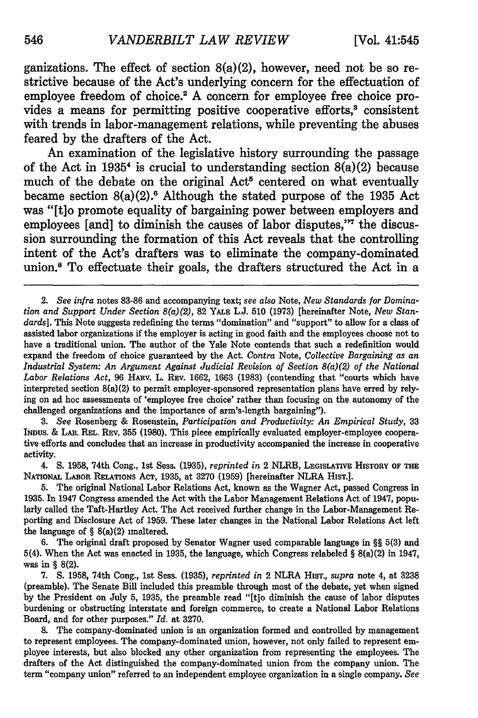ganizations. The effect of section  $8(a)(2)$ , however, need not be so restrictive because of the Act's underlying concern for the effectuation of employee freedom of choice.<sup>2</sup> A concern for employee free choice provides a means for permitting positive cooperative efforts,<sup>3</sup> consistent with trends in labor-management relations, while preventing the abuses feared **by** the drafters of the Act.

An examination of the legislative history surrounding the passage of the Act in **19354** is crucial to understanding section 8(a)(2) because much of the debate on the original Act<sup><sup>5</sup> centered on what eventually</sup> became section 8(a)(2) . Although the stated purpose of the **1935** Act was **"[t]o** promote equality of bargaining power between employers and employees [and] to diminish the causes of labor disputes,"<sup>7</sup> the discussion surrounding the formation of this Act reveals that the controlling intent of the Act's drafters was to eliminate the company-dominated union.<sup>8</sup> To effectuate their goals, the drafters structured the Act in a

*3. See* Rosenberg & Rosenstein, *Participation and Productivity: An Empirical Study,* 33 INDUS. & LAB. REL. REV. 355 (1980). This piece empirically evaluated employer-employee cooperative efforts and concludes that an increase in productivity accompanied the increase in cooperative activity.

4. S. 1958, 74th Cong., 1st Sess. (1935), *reprinted in* 2 NLRB, LEGISLATIVE HISTORY OF THE NATIONAL **LABOR RELATIONS** AcT, 1935, at 3270 (1959) [hereinafter NLRA **HIST.].**

5. The original National Labor Relations Act, known as the Wagner Act, passed Congress in 1935. In 1947 Congress amended the Act with the Labor Management Relations Act of 1947, popularly called the Taft-Hartley Act. The Act received further change in the Labor-Management Reporting and Disclosure Act of 1959. These later changes in the National Labor Relations Act left the language of  $\S$  8(a)(2) unaltered.

6. The original draft proposed by Senator Wagner used comparable language in §§ 5(3) and 5(4). When the Act was enacted in 1935, the language, which Congress relabeled § 8(a)(2) in 1947, was in **§ 8(2).**

7. S. 1958, 74th Cong., 1st Sess. (1935), *reprinted in* 2 NLRA **HIST.,** *supra* note 4, at 3238 (preamble). The Senate Bill included this preamble through most of the debate, yet when signed by the President on July 5, 1935, the preamble read "[tlo diminish the cause of labor disputes burdening or obstructing interstate and foreign commerce, to create a National Labor Relations Board, and for other purposes." *Id.* at 3270.

8. The company-dominated union is an organization formed and controlled by management to represent employees. The company-dominated union, however, not only failed to represent employee interests, but also blocked any other organization from representing the employees. The drafters of the Act distinguished the company-dominated union from the company union. The term "company union" referred to an independent employee organization in a single company. *See*

<sup>2.</sup> *See infra* notes 83-86 and accompanying text; *see also* Note, *New Standards for Domination and Support Under Section 8(a)(2),* 82 **YALE** L.J. 510 (1973) [hereinafter Note, *New Standards].* This Note suggests redefining the terms "domination" and "support" to allow for a class of assisted labor organizations if the employer is acting in good faith and the employees choose not to have a traditional union. The author of the Yale Note contends that such a redefinition would expand the freedom of choice guaranteed by the Act. *Contra* Note, *Collective Bargaining as an Industrial System: An Argument Against Judicial Revision of Section 8(a)(2) of the National Labor Relations Act,* 96 HARv. L. REV. 1662, 1663 (1983) (contending that "courts which have interpreted section 8(a)(2) to permit employer-sponsored representation plans have erred by relying on ad hoc assessments of 'employee free choice' rather than focusing on the autonomy of the challenged organizations and the importance of arm's-length bargaining").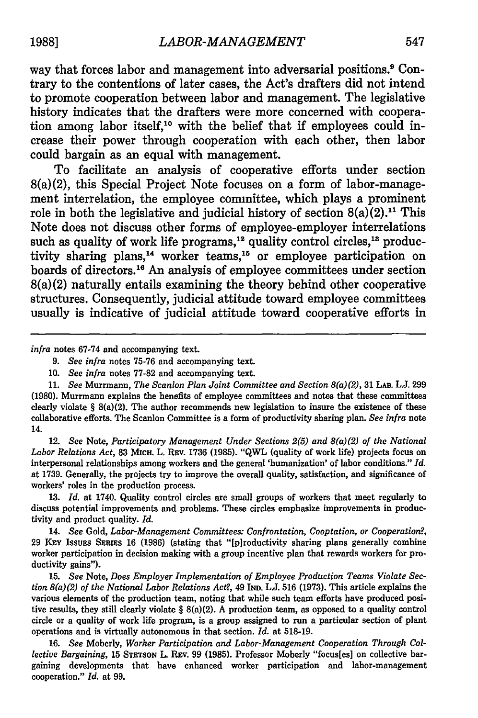way that forces labor and management into adversarial positions.9 Contrary to the contentions of later cases, the Act's drafters did not intend to promote cooperation between labor and management. The legislative history indicates that the drafters were more concerned with cooperation among labor itself,<sup>10</sup> with the belief that if employees could increase their power through cooperation with each other, then labor could bargain as an equal with management.

To facilitate an analysis of cooperative efforts under section 8(a)(2), this Special Project Note focuses on a form of labor-management interrelation, the employee committee, which plays a prominent role in both the legislative and judicial history of section  $8(a)(2)$ .<sup>11</sup> This Note does not discuss other forms of employee-employer interrelations such as quality of work life programs,<sup>12</sup> quality control circles,<sup>13</sup> productivity sharing plans,<sup>14</sup> worker teams,<sup>15</sup> or employee participation on boards of directors.<sup>16</sup> An analysis of employee committees under section  $8(a)(2)$  naturally entails examining the theory behind other cooperative structures. Consequently, judicial attitude toward employee committees usually is indicative of judicial attitude toward cooperative efforts in

*infra* notes 67.74 and accompanying text.

10. *See infra* notes 77-82 and accompanying text.

11. *See* Murrmann, *The Scanlon Plan Joint Committee and Section 8(a)(2),* 31 LAB. L.J. 299 (1980). Murrmann explains the benefits of employee committees and notes that these committees clearly violate  $\S$  8(a)(2). The author recommends new legislation to insure the existence of these collaborative efforts. The Scanlon Committee is a form of productivity sharing plan. *See infra* note 14.

12. *See* Note, *Participatory Management Under Sections 2(5) and 8(a)(2) of the National Labor Relations Act,* 83 MICH. L. REv. 1736 (1985). "QWL (quality of work life) projects focus on interpersonal relationships among workers and the general 'humanization' of labor conditions." *Id.* at 1739. Generally, the projects try to improve the overall quality, satisfaction, and significance of workers' roles in the production process.

13. *Id.* at 1740. Quality control circles are small groups of workers that meet regularly to discuss potential improvements and problems. These circles emphasize improvements in productivity and product quality. *Id.*

14. *See* Gold, *Labor-Management Committees: Confrontation, Cooptation, or Cooperation?,* 29 KEY IssuEs **SERIES** 16 (1986) (stating that "[p]roductivity sharing plans generally combine worker participation in decision making with a group incentive plan that rewards workers for productivity gains").

15. *See* Note, *Does Employer Implementation of Employee Production Teams Violate Section 8(a)(2) of the National Labor Relations Act?,* 49 IND. L.J. 516 (1973). This article explains the various elements of the production team, noting that while such team efforts have produced positive results, they still clearly violate § 8(a)(2). A production team, as opposed to a quality control circle or a quality of work life program, is a group assigned to run a particular section of plant operations and is virtually autonomous in that section. *Id.* at 518-19.

16. *See* Moberly, *Worker Participation and Labor-Management Cooperation Through Collective Bargaining, 15 STETSON L. REV. 99 (1985). Professor Moberly "focus[es] on collective bar*gaining developments that have enhanced worker participation and labor-management cooperation." *Id.* at 99.

*<sup>9.</sup> See infra* notes 75-76 and accompanying text.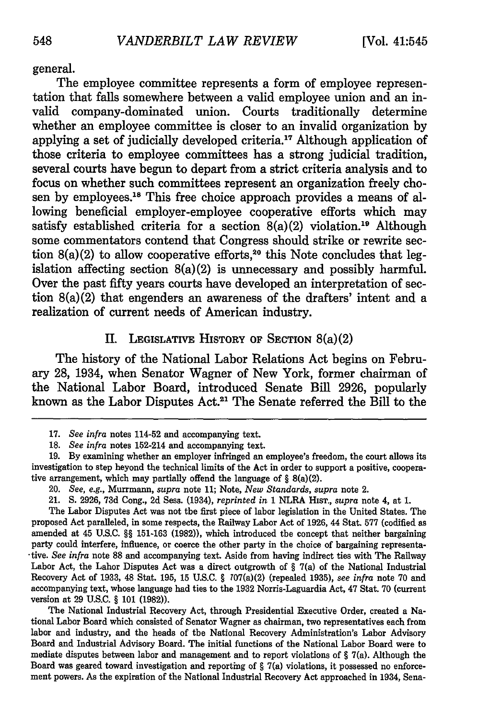general.

The employee committee represents a form of employee representation that falls somewhere between a valid employee union and an invalid company-dominated union. Courts traditionally determine whether an employee committee is closer to an invalid organization **by** applying a set of judicially developed criteria.<sup>17</sup> Although application of those criteria to employee committees has a strong judicial tradition, several courts have begun to depart from a strict criteria analysis and to focus on whether such committees represent an organization freely chosen by employees.<sup>18</sup> This free choice approach provides a means of allowing beneficial employer-employee cooperative efforts which may satisfy established criteria for a section  $8(a)(2)$  violation.<sup>19</sup> Although some commentators contend that Congress should strike or rewrite section  $8(a)(2)$  to allow cooperative efforts,<sup>20</sup> this Note concludes that legislation affecting section 8(a)(2) is unnecessary and possibly harmful. Over the past fifty years courts have developed an interpretation of section 8(a)(2) that engenders an awareness of the drafters' intent and a realization of current needs of American industry.

**II. LEGISLATIVE HISTORY OF SECTION** 8(a)(2)

The history of the National Labor Relations Act begins on February **28,** 1934, when Senator Wagner of New York, former chairman of the National Labor Board, introduced Senate Bill **2926,** popularly known as the Labor Disputes Act.<sup>21</sup> The Senate referred the Bill to the

The Labor Disputes Act was not the first piece of labor legislation in the United States. The proposed Act paralleled, in some respects, the Railway Labor Act of 1926, 44 Stat. 577 (codified as amended at 45 U.S.C. §§ 151-163 (1982)), which introduced the concept that neither bargaining party could interfere, influence, or coerce the other party in the choice of bargaining representa- -tive. *See infra* note **88** and accompanying text. Aside from having indirect ties with The Railway Labor Act, the Labor Disputes Act was a direct outgrowth of **§** 7(a) of the National Industrial Recovery Act of 1933, 48 Stat. 195, 15 U.S.C. § 107(a)(2) (repealed 1935), *see infra* note 70 and accompanying text, whose language had ties to the 1932 Norris-Laguardia Act, 47 Stat. 70 (current version at 29 U.S.C. § 101 (1982)).

The National Industrial Recovery Act, through Presidential Executive Order, created a National Labor Board which consisted of Senator Wagner as chairman, two representatives each from labor and industry, and the heads of the National Recovery Administration's Labor Advisory Board and Industrial Advisory Board. The initial functions of the National Labor Board were to mediate disputes between labor and management and to report violations of **§** 7(a). Although the Board was geared toward investigation and reporting of  $\S$  7(a) violations, it possessed no enforcement powers. As the expiration of the National Industrial Recovery Act approached in 1934, Sena-

**<sup>17.</sup>** *See infra* notes 114-52 and accompanying text.

*<sup>18.</sup> See infra* notes 152-214 and accompanying text.

<sup>19.</sup> By examining whether an employer infringed an employee's freedom, the court allows its investigation to step beyond the technical limits of the Act in order to support a positive, cooperative arrangement, which may partially offend the language of § 8(a)(2).

<sup>20.</sup> *See, e.g.,* Murrmann, *supra* note 11; Note, *New Standards, supra* note 2.

<sup>21.</sup> **S.** 2926, 73d Cong., 2d Sess. (1934), *reprinted in* 1 NLRA HIsT., *supra* note 4, at 1.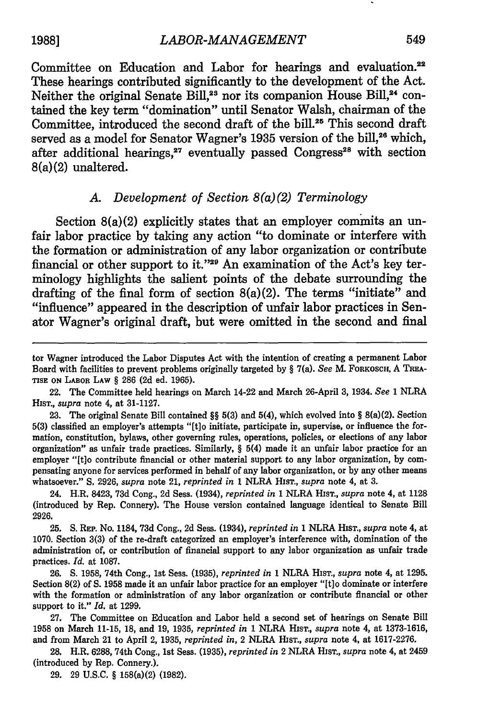**1988]** *LABOR-MANAGEMENT*

Committee on Education and Labor for hearings and evaluation.<sup>22</sup> These hearings contributed significantly to the development of the Act. Neither the original Senate Bill,<sup>23</sup> nor its companion House Bill,<sup>24</sup> contained the key term "domination" until Senator Walsh, chairman of the Committee, introduced the second draft of the bill.<sup>25</sup> This second draft served as a model for Senator Wagner's 1935 version of the bill,<sup>26</sup> which, after additional hearings,<sup>27</sup> eventually passed Congress<sup>28</sup> with section 8(a)(2) unaltered.

# *A. Development of Section 8(a)(2) Terminology*

Section 8(a)(2) explicitly states that an employer commits an unfair labor practice by taking any action "to dominate or interfere with the formation or administration of any labor organization or contribute financial or other support to it." $29$  An examination of the Act's key terminology highlights the salient points of the debate surrounding the drafting of the final form of section 8(a)(2). The terms "initiate" and "influence" appeared in the description of unfair labor practices in Senator Wagner's original draft, but were omitted in the second and final

tor Wagner introduced the Labor Disputes Act with the intention of creating a permanent Labor Board with facilities to prevent problems originally targeted by **§** 7(a). *See* M. FORKOSCH, A **TREA-TISE ON LABOR LAW** *§* 286 (2d ed. 1965).

<sup>22.</sup> The Committee held hearings on March 14-22 and March 26-April 3, 1934. *See* 1 NLRA HIsT., *supra* note 4, at 31-1127.

<sup>23.</sup> The original Senate Bill contained *§§* 5(3) and 5(4), which evolved into *§* 8(a)(2). Section 5(3) classified an employer's attempts "[t]o initiate, participate in, supervise, or influence the formation, constitution, bylaws, other governing rules, operations, policies, or elections of any labor organization" as unfair trade practices. Similarly, **§** 5(4) made it an unfair labor practice for an employer "[t]o contribute financial or other material support to any labor organization, by compensating anyone for services performed in behalf of any labor organization, or by any other means whatsoever." **S.** 2926, *supra* note 21, *reprinted in* 1 NLRA HIsT., *supra* note 4, at 3.

<sup>24.</sup> H.R. 8423, **73d** Cong., 2d Sess. (1934), *reprinted in* 1 NLRA HIsT., *supra* note 4, at 1128 (introduced by Rep. Connery). The House version contained language identical to Senate Bill 2926.

<sup>25.</sup> **S.** REP. No. 1184, 73d Cong., 2d Sess. (1934), *reprinted in* 1 NLRA HIsT., *supra* note 4, at 1070. Section **3(3)** of the re-draft categorized an employer's interference with, domination of the administration of, or contribution of financial support to any labor organization as unfair trade practices. *Id.* at 1087.

<sup>26.</sup> **S.** 1958, 74th Cong., 1st Sess. (1935), *reprinted in* **1** NLRA HIsT., *supra* note 4, at 1295. Section 8(2) of **S.** 1958 made it an unfair labor practice for an employer "[t]o dominate or interfere with the formation or administration of any labor organization or contribute financial or other support to it." *Id.* at 1299.

<sup>27.</sup> The Committee on Education and Labor held a second set of hearings on Senate Bill 1958 on March 11-15, 18, and 19, 1935, *reprinted in* 1 NLRA HIsT., *supra* note 4, at 1373-1616, and from March 21 to April 2, 1935, *reprinted in,* 2 NLRA HIsT., *supra* note 4, at 1617-2276.

**<sup>28.</sup>** H.R. 6288, 74th Cong., 1st Sess. (1935), *reprinted in* 2 NLRA HIsT., *supra* note 4, at 2459 (introduced by Rep. Connery.).

**<sup>29.</sup>** 29 **U.S.C.** § 158(a)(2) (1982).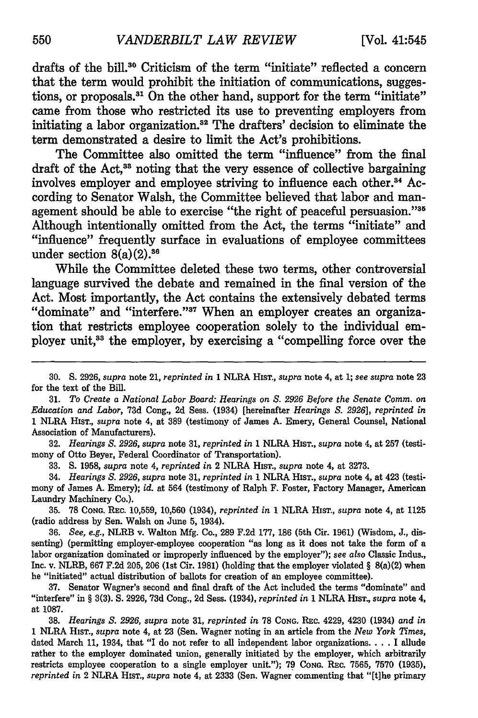drafts of the bill.<sup>30</sup> Criticism of the term "initiate" reflected a concern that the term would prohibit the initiation of communications, suggestions, or proposals.<sup>31</sup> On the other hand, support for the term "initiate" came from those who restricted its use to preventing employers from initiating a labor organization.32 The drafters' decision to eliminate the term demonstrated a desire to limit the Act's prohibitions.

The Committee also omitted the term "influence" from the final draft of the Act,<sup>33</sup> noting that the very essence of collective bargaining involves employer and employee striving to influence each other.<sup>34</sup> According to Senator Walsh, the Committee believed that labor and management should be able to exercise "the right of peaceful persuasion."35 Although intentionally omitted from the Act, the terms "initiate" and "influence" frequently surface in evaluations of employee committees under section  $8(a)(2).$ <sup>36</sup>

While the Committee deleted these two terms, other controversial language survived the debate and remained in the final version of the Act. Most importantly, the Act contains the extensively debated terms "dominate" and "interfere."<sup>37</sup> When an employer creates an organization that restricts employee cooperation solely to the individual employer unit,<sup>33</sup> the employer, by exercising a "compelling force over the

**32.** *Hearings S. 2926, supra* note 31, *reprinted in* **1** NLRA HIST., *supra* note 4, at 257 (testimony of Otto Beyer, Federal Coordinator of Transportation).

33. S. 1958, *supra* note 4, *reprinted in* 2 NLRA HIST., *supra* note 4, at 3273.

34. *Hearings S. 2926, supra* note **31,** *reprinted in* 1 NLRA HisT., *supra* note 4, at 423 (testimony of James A. Emery); *id.* at 564 (testimony of Ralph F. Foster, Factory Manager, American Laundry Machinery Co.).

35. 78 CONG. REc. 10,559, 10,560 (1934), *reprinted in* 1 NLRA HisT., *supra* note 4, at **1125** (radio address by Sen. Walsh on June 5, 1934).

36. *See, e.g.,* NLRB v. Walton Mfg. Co., 289 F.2d 177, 186 (5th Cir. 1961) (Wisdom, J., dissenting) (permitting employer-employee cooperation "as long as it does not take the form of a labor organization dominated or improperly influenced by the employer"); *see also* Classic Indus., Inc. v. NLRB, 667 F.2d 205, **206** (1st Cir. 1981) (holding that the employer violated § 8(a)(2) when he "initiated" actual distribution of ballots for creation of an employee committee).

**37.** Senator Wagner's second and final draft of the Act included the terms "dominate" and "interfere" in § 3(3). **S.** 2926, 73d Cong., 2d Sess. (1934), *reprinted in* 1 NLRA HIST., *supra* note 4, at 1087.

38. *Hearings S. 2926, supra* note 31, *reprinted in* 78 CONG. REc. 4229, 4230 (1934) *and in* **<sup>1</sup>**NLRA HIST., *supra* note 4, at **23** (Sen. Wagner noting in an article from the *New York Times,* dated March **11,** 1934, that "I do not refer to all independent labor organizations **....** I allude rather to the employer dominated union, generally initiated by the employer, which arbitrarily restricts employee cooperation to a single employer unit."); 79 **CONG.** REc. 7565, 7570 (1935), *reprinted in* 2 NLRA HIsT., *supra* note 4, at 2333 (Sen. Wagner commenting that "[ihe primary

<sup>30.</sup> S. 2926, *supra* note 21, *reprinted in* 1 NLRA HIST., *supra* note 4, at 1; *see supra* note 23 for the text of the Bill.

<sup>31.</sup> *To Create a National Labor Board: Hearings on S. 2926 Before the Senate Comm. on Education and Labor,* 73d Cong., 2d Sess. (1934) [hereinafter *Hearings S. 2926], reprinted in* 1 NLRA HIST., *supra* note 4, at 389 (testimony of James A. Emery, General Counsel, National Association of Manufacturers).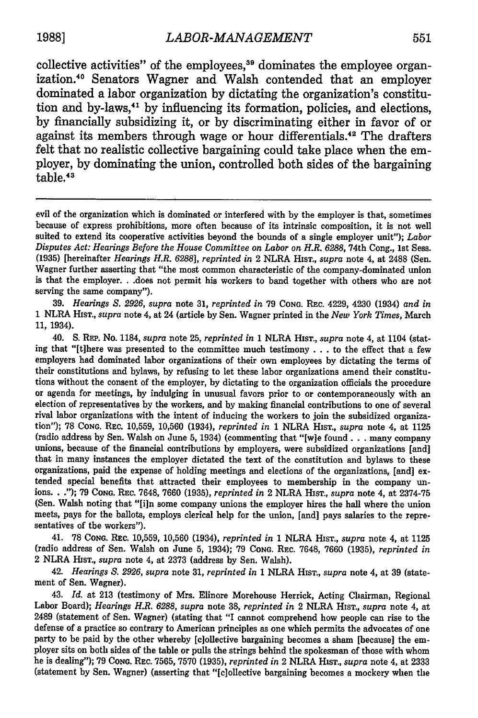collective activities" of the employees, $39$  dominates the employee organization.40 Senators Wagner and Walsh contended that an employer dominated a labor organization **by** dictating the organization's constitution and by-laws, <sup>41</sup>**by** influencing its formation, policies, and elections, **by** financially subsidizing it, or **by** discriminating either in favor of or against its members through wage or hour differentials.<sup>42</sup> The drafters felt that no realistic collective bargaining could take place when the employer, **by** dominating the union, controlled both sides of the bargaining table.<sup>43</sup>

evil of the organization which is dominated or interfered with by the employer is that, sometimes because of express prohibitions, more often because of its intrinsic composition, it is not well suited to extend its cooperative activities beyond the bounds of a single employer unit"); *Labor Disputes Act: Hearings Before the House Committee on Labor on H.R. 6288, 74th Cong., 1st Sess.* (1935) [hereinafter *Hearings H.R. 6288], reprinted in* 2 NLRA HIST., *supra* note 4, at 2488 (Sen. Wagner further asserting that "the most common characteristic of the company-dominated union is that the employer. **.** .does not permit his workers to band together with others who are not serving the same company").

39. *Hearings S. 2926, supra* note 31, *reprinted in* 79 CONG. REc. 4229, 4230 (1934) *and in* 1 NLRA HIST., *supra* note 4, at 24 (article by Sen. Wagner printed in the *New York Times,* March 11, 1934).

40. S. REP. No. 1184, *supra* note 25, *reprinted in* 1 NLRA HIST., *supra* note 4, at 1104 (stating that "[t]here was presented to the committee much testimony **...** to the effect that a few employers had dominated labor organizations of their own employees by dictating the terms of their constitutions and bylaws, by refusing to let these labor organizations amend their constitutions without the consent of the employer, by dictating to the organization officials the procedure or agenda for meetings, by indulging in unusual favors prior to or contemporaneously with an election of representatives by the workers, and by making financial contributions to one of several rival labor organizations with the intent of inducing the workers to join the subsidized organization"); 78 **CONG.** REC. 10,559, 10,560 (1934), *reprinted in* 1 NLRA HIsT., *supra* note 4, at 1125 (radio address by Sen. Walsh on June 5, 1934) (commenting that "[wie found **.. .** many company unions, because of the financial contributions by employers, were subsidized organizations [and] that in many instances the employer dictated the text of the constitution and bylaws to these organizations, paid the expense of holding meetings and elections of the organizations, [and] extended special benefits that attracted their employees to membership in the company unions. **.** ."); 79 CONG. REc. 7648, 7660 (1935), *reprinted in* 2 NLRA HIST., *supra* note 4, at 2374-75 (Sen. Walsh noting that "[i]n some company unions the employer hires the hall where the union meets, pays for the ballots, employs clerical help for the union, [and] pays salaries to the representatives of the workers").

41. 78 CONG. REc. 10,559, 10,560 (1934), *reprinted in* 1 NLRA HIsT., *supra* note 4, at 1125 (radio address of Sen. Walsh on June 5, 1934); 79 CONG. REc. 7648, 7660 (1935), *reprinted in* 2 NLRA HisT., *supra* note 4, at 2373 (address by Sen. Walsh).

42. *Hearings S. 2926, supra* note 31, *reprinted in* 1 NLRA HIsT., *supra* note 4, at 39 (statement of Sen. Wagner).

43. *Id.* at 213 (testimony of Mrs. Elinore Morehouse Herrick, Acting Chairman, Regional Labor Board); *Hearings H.R. 6288, supra* note 38, *reprinted in* 2 NLRA HIsT., *supra* note 4, at 2489 (statement of Sen. Wagner) (stating that "I cannot comprehend how people can rise to the defense of a practice so contrary to American principles as one which permits the advocates of one party to be paid by the other whereby [c]ollective bargaining becomes a sham [because] the employer sits on both sides of the table or pulls the strings behind the spokesman of those with whom he is dealing"); 79 CONG. REc. 7565, 7570 (1935), *reprinted in* 2 NLRA HIsT., *supra* note 4, at 2333 (statement by Sen. Wagner) (asserting that "[clollective bargaining becomes a mockery when the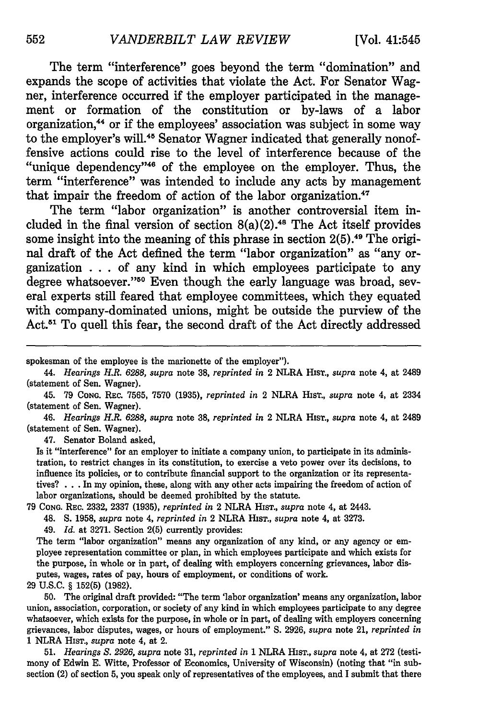The term "interference" goes beyond the term "domination" and expands the scope of activities that violate the Act. For Senator Wagner, interference occurred if the employer participated in the management or formation of the constitution or by-laws of a labor organization,<sup>44</sup> or if the employees' association was subject in some way to the employer's will.<sup>45</sup> Senator Wagner indicated that generally nonoffensive actions could rise to the level of interference because of the "unique dependency"<sup>46</sup> of the employee on the employer. Thus, the term "interference" was intended to include any acts **by** management that impair the freedom of action of the labor organization.<sup>47</sup>

The term "labor organization" is another controversial item included in the final version of section  $8(a)(2)$ .<sup>48</sup> The Act itself provides some insight into the meaning of this phrase in section 2(5).<sup>49</sup> The original draft of the Act defined the term "labor organization" as "any organization **. . .** of any kind in which employees participate to any degree whatsoever."50 Even though the early language was broad, several experts still feared that employee committees, which they equated with company-dominated unions, might be outside the purview of the Act.<sup>51</sup> To quell this fear, the second draft of the Act directly addressed

46. *Hearings H.R. 6288, supra* note 38, *reprinted in* 2 NLRA HiST., *supra* note 4, at 2489 (statement of Sen. Wagner).

47. Senator Boland asked,

Is it "interference" for an employer to initiate a company union, to participate in its administration, to restrict changes in its constitution, to exercise a veto power over its decisions, to influence its policies, or to contribute financial support to the organization or its representatives? . . .In my opinion, these, along with any other acts impairing the freedom of action of labor organizations, should be deemed prohibited by the statute.

79 CONG. REc. 2332, 2337 (1935), *reprinted in* 2 NLRA HIsT., *supra* note 4, at 2443.

48. S. 1958, *supra* note 4, *reprinted in* 2 NLRA HIST., *supra* note 4, at 3273.

49. *Id.* at 3271. Section 2(5) currently provides:

The term "labor organization" means any organization of any kind, or any agency or employee representation committee or plan, in which employees participate and which exists for the purpose, in whole or in part, of dealing with employers concerning grievances, labor disputes, wages, rates of pay, hours of employment, or conditions of work.

29 **U.S.C.** § **152(5)** (1982).

50. The original draft provided: "The term 'labor organization' means any organization, labor union, association, corporation, or society of any kind in which employees participate to any degree whatsoever, which exists for the purpose, in whole or in part, of dealing with employers concerning grievances, labor disputes, wages, or hours of employment." **S.** 2926, *supra* note 21, *reprinted in* 1 NLRA HisT., *supra* note 4, at 2.

51. *Hearings S. 2926, supra* note 31, *reprinted in* 1 NLRA HisT., *supra* note 4, at 272 (testimony of Edwin E. Witte, Professor of Economics, University of Wisconsin) (noting that "in subsection (2) of section 5, you speak only of representatives of the employees, and I submit that there

spokesman of the employee is the marionette of the employer").

<sup>44.</sup> *Hearings H.R. 6288, supra* note **38,** *reprinted in* 2 NLRA HIsT., *supra* note 4, at 2489 (statement of Sen. Wagner).

<sup>45. 79</sup> CONG. REC. 7565, 7570 (1935), *reprinted in* 2 NLRA HIST., *supra* note 4, at 2334 (statement of Sen. Wagner).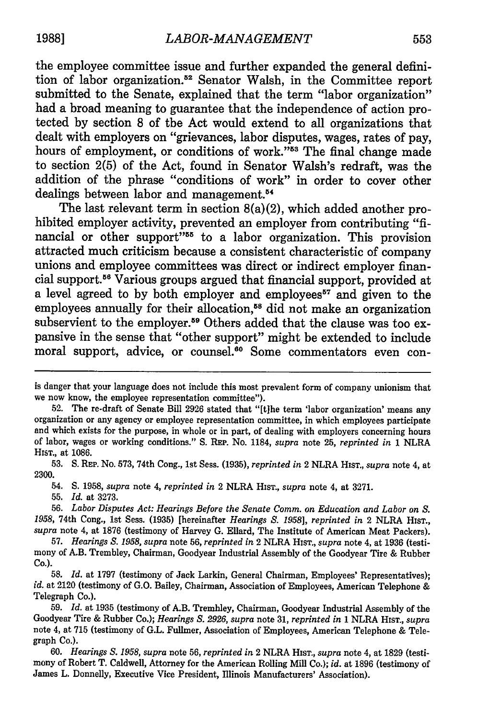the employee committee issue and further expanded the general definition of labor organization.<sup>52</sup> Senator Walsh, in the Committee report submitted to the Senate, explained that the term "labor organization" had a broad meaning to guarantee that the independence of action protected by section 8 of the Act would extend to all organizations that dealt with employers on "grievances, labor disputes, wages, rates of pay, hours of employment, or conditions of work."<sup>53</sup> The final change made to section 2(5) of the Act, found in Senator Walsh's redraft, was the addition of the phrase "conditions of work" in order to cover other dealings between labor and management.<sup>54</sup>

The last relevant term in section 8(a)(2), which added another prohibited employer activity, prevented an employer from contributing "financial or other support"<sup>55</sup> to a labor organization. This provision attracted much criticism because a consistent characteristic of company unions and employee committees was direct or indirect employer financial support.<sup>56</sup> Various groups argued that financial support, provided at a level agreed to by both employer and employees<sup>57</sup> and given to the employees annually for their allocation,<sup>58</sup> did not make an organization subservient to the employer.<sup>59</sup> Others added that the clause was too expansive in the sense that "other support" might be extended to include moral support, advice, or counsel.<sup>60</sup> Some commentators even con-

**53. S.** REP. No. 573, 74th Cong., **1st Sess. (1935),** *reprinted in* 2 NLRA HIST., *supra* note 4, at **2300.**

54. **S. 1958,** *supra* note 4, *reprinted in* 2 NLRA HIST., *supra* note 4, at **3271.**

**55.** *Id.* at **3273.**

**56.** *Labor Disputes Act: Hearings Before the Senate Comm. on Education and Labor on S. 1958,* 74th Cong., **1st** Sess. **(1935)** [hereinafter *Hearings S. 1958], reprinted in* 2 NLRA HIsT., *supra* note 4, at **1876** (testimony of Harvey **G.** Ellard, The Institute of American Meat Packers).

**57.** *Hearings* **S.** *1958, supra* note **56,** *reprinted in* 2 NLRA HIST., *supra* note 4, at **1936** (testimony of A.B. Trembley, Chairman, Goodyear Industrial Assembly of the Goodyear Tire **&** Rubber **Co.).**

**58.** *Id.* at 1797 (testimony of Jack Larkin, General Chairman, Employees' Representatives); *id.* at 2120 (testimony of G.O. Bailey, Chairman, Association of Employees, American Telephone & Telegraph Co.).

**59.** *Id.* at **1935** (testimony of A.B. Trembley, Chairman, Goodyear Industrial Assembly of the Goodyear Tire & Rubber Co.); *Hearings* **S.** *2926, supra* note **31,** *reprinted in* 1 NLRA HisT., *supra* note 4, at **715** (testimony of G.L. Fullmer, Association of Employees, American Telephone & Telegraph Co.).

**60.** *Hearings* **S.** *1958, supra* note **56,** *reprinted in* 2 NLRA HisT., *supra* note 4, at **1829** (testimony of Robert T. Caldwell, Attorney for the American Rolling Mill Co.); *id.* at **1896** (testimony of James L. Donnelly, Executive Vice President, Illinois Manufacturers' Association).

is danger that your language does not include this most prevalent form of company unionism that we now know, the employee representation committee").

**<sup>52.</sup>** The re-draft of Senate Bill **2926** stated that "[tlhe term 'labor organization' means any organization or any agency or employee representation committee, in which employees participate and which exists for the purpose, in whole or in part, of dealing with employers concerning hours of labor, wages or working conditions." **S.** REP. No. 1184, *supra* note **25,** *reprinted in* **1** NLRA **HiT.,** at **1086.**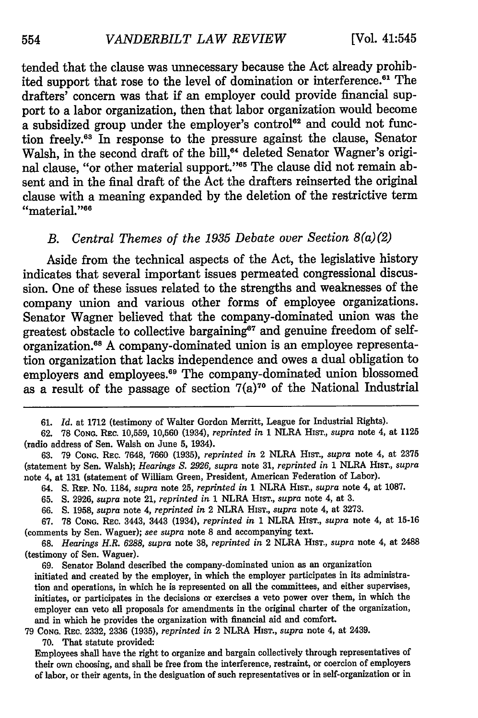tended that the clause was unnecessary because the Act already prohibited support that rose to the level of domination or interference.<sup>61</sup> The drafters' concern was that if an employer could provide financial support to a labor organization, then that labor organization would become a subsidized group under the employer's control<sup>62</sup> and could not function freely.<sup>63</sup> In response to the pressure against the clause, Senator Walsh, in the second draft of the bill,<sup>64</sup> deleted Senator Wagner's original clause, "or other material support."<sup>65</sup> The clause did not remain absent and in the final draft of the Act the drafters reinserted the original clause with a meaning expanded **by** the deletion of the restrictive term "material."<sup>66</sup>

#### *B. Central Themes of the 1935 Debate over Section 8(a)(2)*

Aside from the technical aspects of the Act, the legislative history indicates that several important issues permeated congressional discussion. One of these issues related to the strengths and weaknesses of the company union and various other forms of employee organizations. Senator Wagner believed that the company-dominated union was the greatest obstacle to collective bargaining<sup> $e7$ </sup> and genuine freedom of selforganization.<sup>68</sup> A company-dominated union is an employee representation organization that lacks independence and owes a dual obligation to employers and employees.<sup>69</sup> The company-dominated union blossomed as a result of the passage of section  $7(a)^{70}$  of the National Industrial

- 64. S. REP. No. 1184, *supra* note 25, *reprinted in* 1 NLRA HIST., *supra* note 4, at 1087.
- 65. **S.** 2926, *supra* note 21, *reprinted in* **1** NLRA **HIST.,** *supra* note 4, at 3.

**<sup>61.</sup>** *Id.* at **1712** (testimony of Walter Gordon Merritt, League for Industrial Rights).

<sup>62. 78</sup> **CONG.** REC. 10,559, 10,560 (1934), *reprinted in* 1 NLRA HIsT., *supra* note 4, at 1125 (radio address of Sen. Walsh on June 5, 1934).

<sup>63. 79</sup> **CONG.** REC. 7648, 7660 (1935), *reprinted in* 2 NLRA HIST., *supra* note 4, at 2375 (statement by Sen. Walsh); *Hearings S. 2926, supra* note 31, *reprinted in* 1 NLRA HIST., *supra* note 4, at **131** (statement of William Green, President, American Federation of Labor).

<sup>66.</sup> **S.** 1958, *supra* note 4, *reprinted in* 2 NLRA HisT., *supra* note 4, at 3273.

<sup>67. 78</sup> **CONG.** REC. 3443, 3443 (1934), *reprinted in* 1 NLRA **HIST.,** *supra* note 4, at 15-16 (comments **by** Sen. Wagner); *see supra* note 8 and accompanying text.

<sup>68.</sup> *Hearings H.R. 6288, supra* note **38,** *reprinted in* 2 NLRA HIST., *supra* note 4, at 2488 (testimony of Sen. Waguer).

<sup>69.</sup> Senator Boland described the company-dominated union as an organization initiated and created **by** the employer, in which the employer participates in its administration and operations, in which he is represented on **all** the committees, and either supervises, initiates, or participates in the decisions or exercises a veto power over them, in which the employer can veto all proposals for amendments in the original charter of the organization, and in which he provides the organization with financial aid and comfort.

**<sup>79</sup> CONG.** REC. **2332, 2336 (1935),** *reprinted in* 2 NLRA HIST., *supra* note 4, at 2439. **70.** That statute provided:

Employees shall have the right to organize and bargain collectively through representatives of their own choosing, and shall be free from the interference, restraint, or coercion of employers of labor, or their agents, in the designation of such representatives or in self-organization or in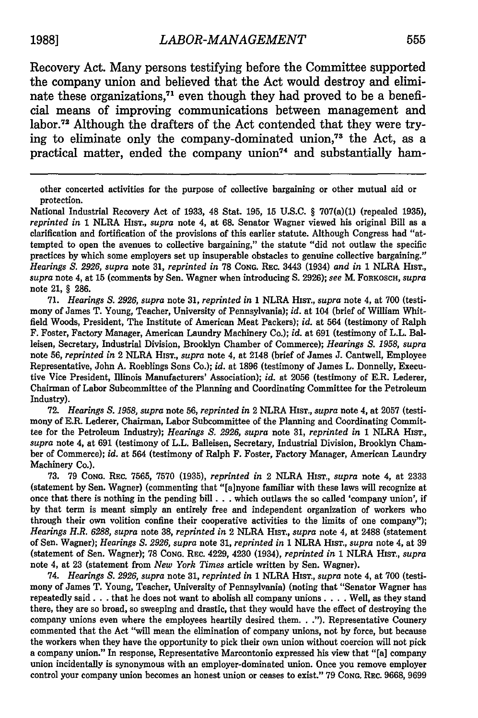Recovery Act. Many persons testifying before the Committee supported the company union and believed that the Act would destroy and eliminate these organizations.<sup>71</sup> even though they had proved to be a beneficial means of improving communications between management and labor.72 Although the drafters of the Act contended that they were trying to eliminate only the company-dominated union,73 the Act, as a practical matter, ended the company union<sup>74</sup> and substantially ham-

National Industrial Recovery Act of 1933, 48 Stat. 195, 15 U.S.C. § 707(a)(1) (repealed 1935), *reprinted in* 1 NLRA HIsT., *supra* note 4, at 68. Senator Wagner viewed his original Bill as a clarification and fortification of the provisions of this earlier statute. Although Congress had "attempted to open the avenues to collective bargaining," the statute "did not outlaw the specific practices by which some employers set up insuperable obstacles to genuine collective bargaining." *Hearings S. 2926, supra* note **31,** *reprinted in* 78 **CONG.** REc. 3443 (1934) *and in* 1 NLRA HIsT., *supra* note 4, at 15 (comments by Sen. Wagner when introducing **S.** 2926); *see* M. FORKOSCH, *supra* note 21, § 286.

71. *Hearings S. 2926, supra* note **31,** *reprinted in* 1 NLRA HIsT., *supra* note 4, at 700 (testimony of James T. Young, Teacher, University of Pennsylvania); *id.* at 104 (brief of William Whitfield Woods, President, The Institute of American Meat Packers); *id.* at 564 (testimony of Ralph F. Foster, Factory Manager, American Laundry Machinery Co.); *id.* at 691 (testimony of L.L. Balleisen, Secretary, Industrial Division, Brooklyn Chamber of Commerce); *Hearings S. 1958, supra* note **56,** *reprinted in* 2 NLRA HIsT., *supra* note 4, at 2148 (brief of James J. Cantwell, Employee Representative, John A. Roeblings Sons Co.); *id.* at 1896 (testimony of James L. Donnelly, Executive **Vice** President, Illinois Manufacturers' Association); *id.* at 2056 (testimony of E.R. Lederer, Chairman of Labor Subcommittee of the Planning and Coordinating Committee for the Petroleum Industry).

72. *Hearings S. 1958, supra* note 56, *reprinted in* 2 NLRA HIsT., *supra* note 4, at 2057 (testimony of E.R. Lederer, Chairman, Labor Subcommittee of the Planning and Coordinating Committee for the Petroleum Industry); *Hearings S. 2926, supra* note 31, *reprinted in* 1 NLRA **HIsT.,** *supra* note 4, at 691 (testimony of L.L. Balleisen, Secretary, Industrial Division, Brooklyn Chamber of Commerce); *id.* at 564 (testimony of Ralph F. Foster, Factory Manager, American Laundry Machinery Co.).

73. 79 **CONG.** REc. 7565, 7570 (1935), *reprinted in* 2 NLRA HIsT., *supra* note 4, at 2333 (statement by Sen. Wagner) (commenting that "[a]nyone familiar with these laws will recognize at once that there is nothing in the pending bill  $\ldots$  which outlaws the so called 'company union', if by that term is meant simply an entirely free and independent organization of workers who through their own volition confine their cooperative activities to the limits of one company"); *Hearings H.R. 6288, supra* note 38, *reprinted in* 2 NLRA **HIST.,** *supra* note 4, at 2488 (statement of Sen. Wagner); *Hearings S. 2926, supra* note 31, *reprinted in* 1 NLRA HisT., *supra* note 4, at 39 (statement of Sen. Wagner); 78 **CONG.** REc. 4229, 4230 (1934), *reprinted in* 1 NLRA HIST., *supra* note 4, at 23 (statement from *New York Times* article written by Sen. Wagner).

74. *Hearings S. 2926, supra* note **31,** *reprinted in* 1 NLRA HisT., *supra* note 4, at 700 (testimony of James T. Young, Teacher, University of Pennsylvania) (noting that "Senator Wagner has repeatedly said **...** that he does not want to abolish all company unions **....** Well, as they stand there, they are so broad, so sweeping and drastic, that they would have the effect of destroying the company unions even where the employees heartily desired them. **. .").** Representative Connery commented that the Act "will mean the elimination of company unions, not by force, but because the workers when they have the opportunity to pick their own union without coercion will not pick a company union." In response, Representative Marcontonio expressed his view that "[a] company union incidentally is synonymous with an employer-dominated union. Once you remove employer control your company union becomes an honest union or ceases to exist." 79 **CONG.** REc. 9668, 9699

other concerted activities for the purpose of collective bargaining or other mutual aid or protection.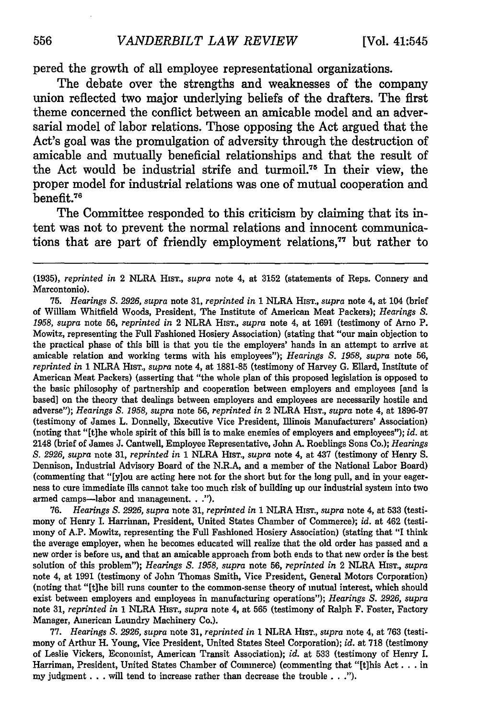pered the growth of all employee representational organizations.

The debate over the strengths and weaknesses of the company union reflected two major underlying beliefs of the drafters. The first theme concerned the conflict between an amicable model and an adversarial model of labor relations. Those opposing the Act argued that the Act's goal was the promulgation of adversity through the destruction of amicable and mutually beneficial relationships and that the result of the Act would be industrial strife and turmoil.<sup>75</sup> In their view, the proper model for industrial relations was one of mutual cooperation and benefit.<sup>76</sup>

The Committee responded to this criticism **by** claiming that its intent was not to prevent the normal relations and innocent communications that are part of friendly employment relations,<sup>77</sup> but rather to

**75.** *Hearings S. 2926, supra* note **31,** *reprinted in* **1** NLRA HIST., *supra* note 4, at 104 (brief of William Whitfield Woods, President, The Institute of American Meat Packers); *Hearings S. 1958, supra* note 56, *reprinted in* 2 NLRA HIsT., *supra* note 4, at 1691 (testimony of Arno P. Mowitz, representing the Full Fashioned Hosiery Association) (stating that "our main objection to the practical phase of this bill is that you tie the employers' hands in an attempt to arrive at amicable relation and working terms with his employees"); *Hearings S. 1958, supra* note **56,** *reprinted in* 1 NLRA HIST., *supra* note 4, at **1881-85** (testimony of Harvey G. Ellard, Institute of American Meat Packers) (asserting that "the whole plan of this proposed legislation is opposed to the basic philosophy of partnership and cooperation between employers and employees [and is based] on the theory that dealings between employers and employees are necessarily hostile and adverse"); *Hearings S. 1958, supra* note 56, *reprinted in* 2 NLRA HIST., *supra* note 4, at 1896-97 (testimony of James L. Donnelly, Executive Vice President, Illinois Manufacturers' Association) (noting that "[t]he whole spirit of this bill is to make enemies of employers and employees"); *id.* at 2148 (brief of James J. Cantwell, Employee Representative, John A. Roeblings Sons Co.); *Hearings S. 2926, supra* note 31, *reprinted in* 1 NLRA HIsT., *supra* note 4, at 437 (testimony of Henry **S.** Dennison, Industrial Advisory Board of the N.R.A, and a member of the National Labor Board) (commenting that "[y]ou are acting here not for the short but for the long pull, and in your eagerness to cure immediate ills cannot take too much risk of building up our industrial system into two armed camps-labor and management. **.. ").**

76. *Hearings S. 2926, supra* note 31, *reprinted in* 1 NLRA HIsT., *supra* note 4, at 533 (testimony of Henry I. Harriman, President, United States Chamber of Commerce); *id.* at 462 (testimony of A.P. Mowitz, representing the Full Fashioned Hosiery Association) (stating that "I think the average employer, when he becomes educated will realize that the old order has passed and a new order is before us, and that an amicable approach from both ends to that new order is the best solution of this problem"); *Hearings S. 1958, supra* note **56,** *reprinted in* 2 NLRA HiS., *supra* note 4, at 1991 (testimony of John Thomas Smith, Vice President, General Motors Corporation) (noting that "Etihe bill runs counter to the common-sense theory of mutual interest, which should exist between employers and employees in manufacturing operations"); *Hearings S. 2926, supra* note **31,** *reprinted in* 1 NLRA HIST., *supra* note 4, at 565 (testimony of Ralph F. Foster, Factory Manager, American Laundry Machinery Co.).

77. *Hearings S. 2926, supra* note 31, *reprinted in* 1 NLRA HIST., *supra* note 4, at 763 (testimony of Arthur H. Young, Vice President, United States Steel Corporation); *id.* at 718 (testimony of Leslie Vickers, Economist, American Transit Association); *id.* at 533 (testimony of Henry I. Harriman, President, United States Chamber of Commerce) (commenting that "[tihis Act. **.** . in my judgment **...** will tend to increase rather than decrease the trouble **.. .").**

**<sup>(1935),</sup>** *reprinted in* 2 NLRA HIsT., *supra* note 4, at **3152** (statements of Reps. Connery and Marcontonio).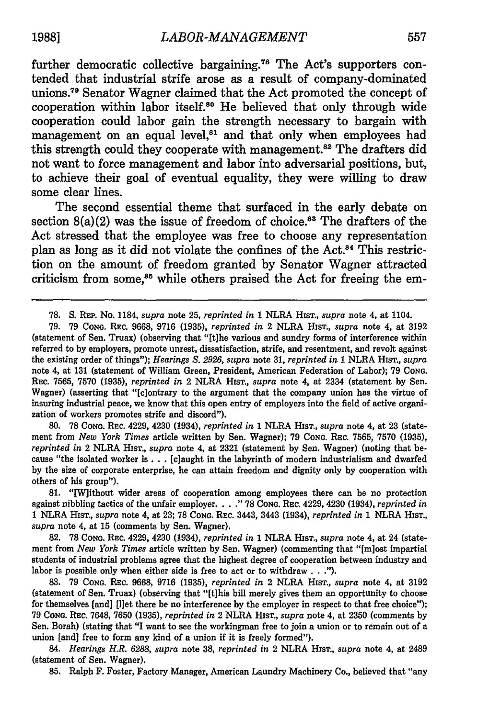further democratic collective bargaining.<sup>78</sup> The Act's supporters contended that industrial strife arose as a result of company-dominated unions.<sup>79</sup> Senator Wagner claimed that the Act promoted the concept of cooperation within labor itself.<sup>80</sup> He believed that only through wide cooperation could labor gain the strength necessary to bargain with management on an equal level, $81$  and that only when employees had this strength could they cooperate with management.<sup>82</sup> The drafters did not want to force management and labor into adversarial positions, but, to achieve their goal of eventual equality, they were willing to draw some clear lines.

The second essential theme that surfaced in the early debate on section  $8(a)(2)$  was the issue of freedom of choice.<sup>83</sup> The drafters of the Act stressed that the employee was free to choose any representation plan as long as it did not violate the confines of the Act.84 This restriction on the amount of freedom granted by Senator Wagner attracted criticism from some,<sup>85</sup> while others praised the Act for freeing the em-

**80. 78 CONG.** REc. 4229, 4230 (1934), *reprinted in* 1 NLRA HisT., *supra* note 4, at **23** (statement from *New York Times* article written **by** Sen. Wagner); **79 CoNG.** REc. **7565, 7570 (1935),** *reprinted in* 2 NLRA HisT., *supra* note 4, at **2321** (statement **by** Sen. Wagner) (noting that because "the isolated worker is **...** [claught in the labyrinth of modern industrialism and dwarfed **by** the size of corporate enterprise, he can attain freedom and dignity only **by** cooperation with others of his group").

81. "[W]ithout wider areas of cooperation among employees there can be no protection against nibbling tactics of the unfair employer **..... 78 CONG.** REc. 4229, 4230 (1934), *reprinted in* 1 NLRA HisT., *supra* note 4, at **23; 78 CONG.** REc. 3443, 3443 (1934), *reprinted in* 1 NLRA HisT., *supra* note 4, at 15 (comments by Sen. Wagner).

**82. 78 CONG.** REc. 4229, 4230 (1934), *reprinted in* 1 NLRA HIsT., *supra* note 4, at 24 (statement from *New York Times* article written by Sen. Wagner) (commenting that "[m]ost impartial students of industrial problems agree that the highest degree of cooperation between industry and labor is possible only when either side is free to act or to withdraw  $\ldots$ .").

**83. 79 CONG.** REc. **9668,** 9716 **(1935),** *reprinted in* 2 NLRA HisT., *supra* note 4, at **3192** (statement of Sen. Truax) (observing that "[t]his bill merely gives them an opportunity to choose for themselves [and] [l]et there be no interference by the employer in respect to that free choice"); **79 CONG.** REc. **7648,** 7650 **(1935),** *reprinted in* 2 NLRA HIsT., *supra* note 4, at **2350** (comments by Sen. Borah) (stating that "I want to see the workingman free to join a union or to remain out of a union [and] free to form any kind of a union if it is freely formed").

*84. Hearings H.R. 6288, supra* note **38,** *reprinted in* 2 NLRA HIST., *supra* note 4, at 2489 (statement of Sen. Wagner).

**85.** Ralph F. Foster, Factory Manager, American Laundry Machinery Co., believed that "any

**<sup>78.</sup> S. REP.** No. 1184, *supra* note **25,** *reprinted in* 1 NLRA **HIST.,** *supra* note 4, at 1104.

**<sup>79. 79</sup> CONG. REC. 9668, 9716 (1935),** *reprinted in* 2 NLRA HIsT., *supra* note 4, at **3192** (statement of Sen. Truax) (observing that **"[t]he** various and sundry forms of interference within referred to **by** employers, promote unrest, dissatisfaction, strife, and resentment, and revolt against the existing order of things"); *Hearings S. 2926, supra* note **31,** *reprinted in* 1 NLRA **HIST.,** *supra* note 4, at **131** (statement of William Green, President, American Federation of Labor); **79 CoNG. REc. 7565, 7570 (1935),** *reprinted in* 2 NLRA HisT., *supra* note 4, at 2334 (statement **by** Sen. Wagner) (asserting that "[c]ontrary to the argument that the company union has the virtue of insuring industrial peace, we know that this open entry of employers into the field of active organization of workers promotes strife and discord").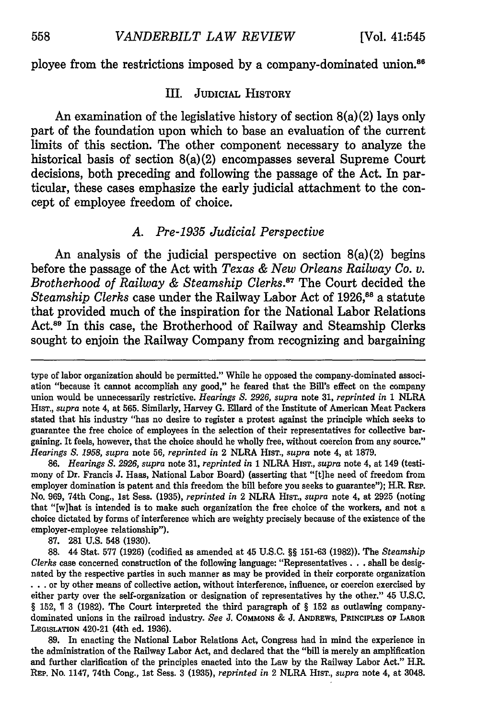ployee from the restrictions imposed by a company-dominated union.<sup>86</sup>

#### III. **JUDICIAL** HISTORY

An examination of the legislative history of section 8(a)(2) lays only part of the foundation upon which to base an evaluation of the current limits of this section. The other component necessary to analyze the historical basis of section 8(a)(2) encompasses several Supreme Court decisions, both preceding and following the passage of the Act. In particular, these cases emphasize the early judicial attachment to the concept of employee freedom of choice.

#### *A. Pre-1935 Judicial Perspective*

An analysis of the judicial perspective on section 8(a)(2) begins before the passage of the Act with *Texas & New Orleans Railway Co. v. Brotherhood of Railway & Steamship Clerks.<sup>87</sup> The Court decided the Steamship Clerks* case under the Railway Labor Act of 1926,<sup>88</sup> a statute that provided much of the inspiration for the National Labor Relations Act.<sup>89</sup> In this case, the Brotherhood of Railway and Steamship Clerks sought to enjoin the Railway Company from recognizing and bargaining

**86.** *Hearings S. 2926, supra* note 31, *reprinted in* 1 NLRA HIsT., *supra* note 4, at 149 (testimony of Dr. Francis J. Haas, National Labor Board) (asserting that "[t]he need of freedom from employer domination is patent and this freedom the bill before you seeks to guarantee"); H.R. REP. No. 969, 74th Cong., 1st Sess. (1935), *reprinted in* 2 NLRA HIST., *supra* note 4, at 2925 (noting that "[w]hat is intended is to make such organization the free choice of the workers, and not a choice dictated by forms of interference which are weighty precisely because of the existence of the employer-employee relationship").

87. **281** U.S. 548 (1930).

**88.** 44 Stat. 577 (1926) (codified as amended at 45 U.S.C. §§ 151-63 (1982)). The *Steamship Clerks* case concerned construction of the following language: "Representatives **...** shall be designated by the respective parties in such manner as may be provided in their corporate organization **...**or by other means of collective action, without interference, influence, or coercion exercised by either party over the self-organization or designation of representatives by the other." 45 U.S.C. § 152, T 3 (1982). The Court interpreted the third paragraph of § 152 as outlawing companydominated unions in the railroad industry. *See* J. **COMMONS** & J. **ANDREWS, PRINCIPLES** OF LAnOR **LEGISLATION** 420-21 (4th ed. 1936).

89. In enacting the National Labor Relations Act, Congress had in mind the experience in the administration of the Railway Labor Act, and declared that the "bill is merely an amplification and further clarification of the principles enacted into the Law by the Railway Labor Act." H.R. **REP.** No. 1147, 74th Cong., 1st Sess. **3** (1935), *reprinted in* 2 NLRA HIsT., *supra* note 4, at 3048.

type of labor organization should be permitted." While he opposed the company-dominated association "because it cannot accomplish any good," he feared that the Bill's effect on the company union would be unnecessarily restrictive. *Hearings S. 2926, supra* note 31, *reprinted in* **1** NLRA HIST., *supra* note 4, at 565. Similarly, Harvey G. Ellard of the Institute of American Meat Packers stated that his industry "has no desire to register a protest against the principle which seeks to guarantee the free choice of employees in the selection of their representatives for collective bargaining. It feels, however, that the choice should be wholly free, without coercion from any source." *Hearings S. 1958, supra* note 56, *reprinted in* 2 NLRA HIST., *supra* note 4, at 1879.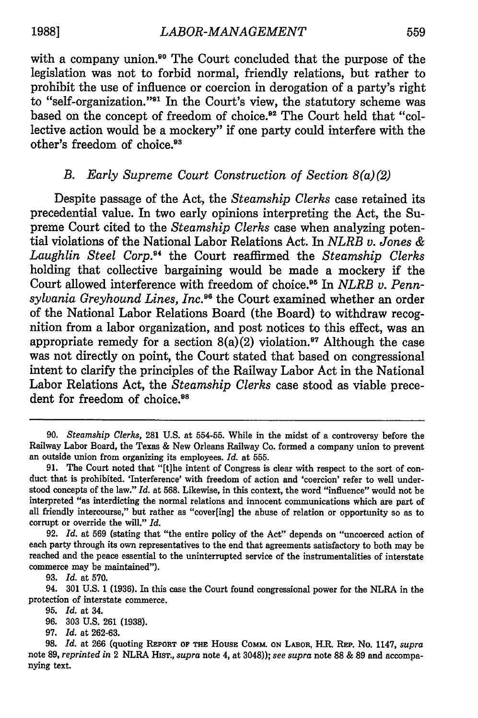with a company union.<sup>90</sup> The Court concluded that the purpose of the legislation was not to forbid normal, friendly relations, but rather to prohibit the use of influence or coercion in derogation of a party's right to "self-organization."<sup>91</sup> In the Court's view, the statutory scheme was based on the concept of freedom of choice.<sup>92</sup> The Court held that "collective action would be a mockery" if one party could interfere with the other's freedom of choice.<sup>93</sup>

# *B. Early Supreme Court Construction of Section 8(a)(2)*

Despite passage of the Act, the *Steamship Clerks* case retained its precedential value. In two early opinions interpreting the Act, the Supreme Court cited to the *Steamship Clerks* case when analyzing potential violations of the National Labor Relations Act. In *NLRB v. Jones &* Laughlin Steel Corp.<sup>84</sup> the Court reaffirmed the *Steamship Clerks* holding that collective bargaining would be made a mockery if the Court allowed interference with freedom of choice.<sup>95</sup> In *NLRB v. Pennsylvania Greyhound Lines, Inc.96* the Court examined whether an order of the National Labor Relations Board (the Board) to withdraw recognition from a labor organization, and post notices to this effect, was an appropriate remedy for a section  $8(a)(2)$  violation.<sup>97</sup> Although the case was not directly on point, the Court stated that based on congressional intent to clarify the principles of the Railway Labor Act in the National Labor Relations Act, the *Steamship Clerks* case stood as viable precedent for freedom of choice.<sup>98</sup>

**93.** *Id.* at **570.**

**97.** *Id.* at **262-63.**

<sup>90.</sup> *Steamship Clerks,* **281** U.S. at 554-55. While in the midst of a controversy before the Railway Labor Board, the Texas & New Orleans Railway Co. formed a company union to prevent an outside union from organizing its employees. *Id.* at **555.**

<sup>91.</sup> The Court noted that "[t]he intent of Congress is clear with respect to the sort of conduct that is prohibited. 'Interference' with freedom of action and 'coercion' refer to well understood concepts of the law." *Id.* at 568. Likewise, in this context, the word "influence" would not be interpreted "as interdicting the normal relations and innocent communications which are part of all friendly intercourse," but rather as "cover[ing] the abuse of relation or opportunity so as to corrupt or override the will." *Id.*

<sup>92.</sup> *Id.* at **569** (stating that "the entire policy of the Act" depends on "uncoerced action of each party through its own representatives to the end that agreements satisfactory to both may be reached and the peace essential to the uninterrupted service of the instrumentalities of interstate commerce may be maintained").

<sup>94.</sup> **301 U.S. 1 (1936).** In this case the Court found congressional power for the NLRA in the protection of interstate commerce.

**<sup>95.</sup>** *Id.* at 34.

**<sup>96. 303</sup> U.S. 261 (1938).**

**<sup>98.</sup>** *Id.* at **266** (quoting **REPORT OF THE HOUSE COMm. ON LABOR,** H.R. REP. No. 1147, *supra* note **89,** *reprinted in* 2 NLRA **HIST.,** *supra* note 4, at 3048)); *see supra* note **88** & **89** and accompanying text.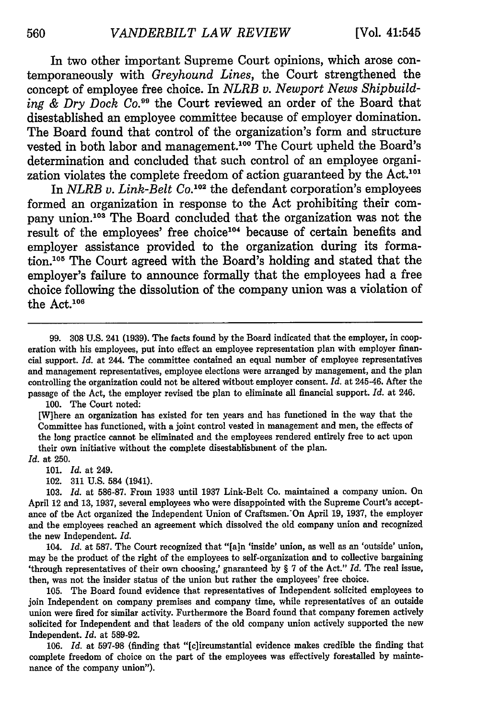In two other important Supreme Court opinions, which arose contemporaneously with *Greyhound Lines,* the Court strengthened the concept of employee free choice. In *NLRB v. Newport News Shipbuild*ing & Dry Dock Co.<sup>99</sup> the Court reviewed an order of the Board that disestablished an employee committee because of employer domination. The Board found that control of the organization's form and structure vested in both labor and management.<sup>100</sup> The Court upheld the Board's determination and concluded that such control of an employee organization violates the complete freedom of action guaranteed by the Act.101

In *NLRB v. Link-Belt Co.*<sup>102</sup> the defendant corporation's employees formed an organization in response to the Act prohibiting their company union.<sup>103</sup> The Board concluded that the organization was not the result of the employees' free choice<sup>104</sup> because of certain benefits and employer assistance provided to the organization during its formation.<sup>105</sup> The Court agreed with the Board's holding and stated that the employer's failure to announce formally that the employees had a free choice following the dissolution of the company union was a violation of the Act.<sup>106</sup>

99. 308 U.S. 241 (1939). The facts found by the Board indicated that the employer, in cooperation with his employees, put into effect an employee representation plan with employer financial support. *Id.* at 244. The committee contained an equal number of employee representatives and management representatives, employee elections were arranged by management, and the plan controlling the organization could not be altered without employer consent. *Id.* at 245-46. After the passage of the Act, the employer revised the plan to eliminate all financial support. *Id.* at 246.

100. The Court noted:

[Wihere an organization has existed for ten years and has functioned in the way that the Committee has functioned, with a joint control vested in management and men, the effects of the long practice cannot be eliminated and the employees rendered entirely free to act upon their own initiative without the complete disestablishment of the plan.

*Id.* at 250.

101. *Id.* at 249.

102. 311 U.S. 584 (1941).

103. *Id.* at 586-87. From 1933 until 1937 Link-Belt Co. maintained a company union. On April 12 and 13, 1937, several employees who were disappointed with the Supreme Court's acceptance of the Act organized the Independent Union of Craftsmen.'On April 19, 1937, the employer and the employees reached an agreement which dissolved the old company union and recognized the new Independent. *Id.*

104. *Id.* at 587. The Court recognized that "[a]n 'inside' union, as well as an 'outside' union, may be the product of the right of the employees to self-organization and to collective bargaining 'through representatives of their own choosing,' guaranteed by § 7 of the Act." *Id.* The real issue, then, was not the insider status of the union but rather the employees' free choice.

105. The Board found evidence that representatives of Independent solicited employees to join Independent on company premises and company time, while representatives of an outside union were fired for similar activity. Furthermore the Board found that company foremen actively solicited for Independent and that leaders of the old company union actively supported the new Independent. *Id.* at 589-92.

106. *Id.* at 597-98 (finding that "[c]ircumstantial evidence makes credible the finding that complete freedom of choice on the part of the employees was effectively forestalled by maintenance of the company union").

560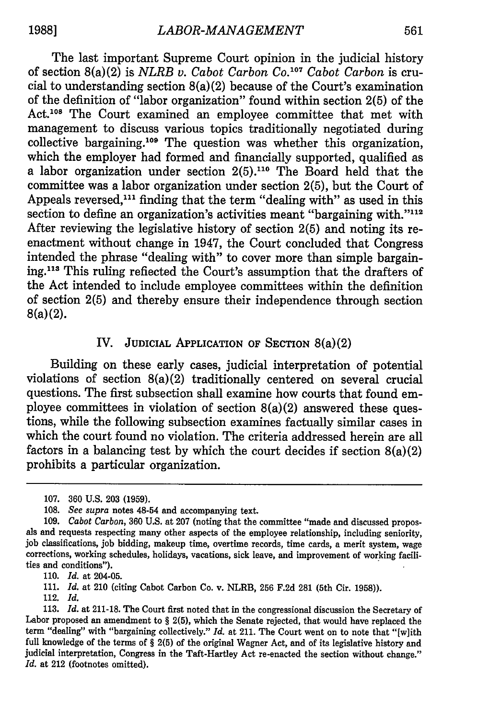The last important Supreme Court opinion in the judicial history of section 8(a)(2) is *NLRB v. Cabot Carbon Co.107 Cabot Carbon* is crucial to understanding section 8(a)(2) because of the Court's examination of the definition of "labor organization" found within section 2(5) of the Act.<sup>108</sup> The Court examined an employee committee that met with management to discuss various topics traditionally negotiated during collective bargaining. 109 The question was whether this organization, which the employer had formed and financially supported, qualified as a labor organization under section  $2(5).<sup>110</sup>$  The Board held that the committee was a labor organization under section 2(5), but the Court of Appeals reversed,<sup>111</sup> finding that the term "dealing with" as used in this section to define an organization's activities meant "bargaining with."<sup>112</sup> After reviewing the legislative history of section 2(5) and noting its reenactment without change in 1947, the Court concluded that Congress intended the phrase "dealing with" to cover more than simple bargain**ing.113** This ruling reflected the Court's assumption that the drafters of the Act intended to include employee committees within the definition of section 2(5) and thereby ensure their independence through section 8(a)(2).

## IV. **JUDICIAL** APPLICATION OF **SECTION** 8(a)(2)

Building on these early cases, judicial interpretation of potential violations of section 8(a)(2) traditionally centered on several crucial questions. The first subsection shall examine how courts that found employee committees in violation of section  $8(a)(2)$  answered these questions, while the following subsection examines factually similar cases in which the court found no violation. The criteria addressed herein are all factors in a balancing test **by** which the court decides if section 8(a)(2) prohibits a particular organization.

110. *Id.* at 204-05.

111. *Id.* at 210 (citing Cabot Carbon Co. v. NLRB, 256 F.2d 281 (5th Cir. 1958)).

112. *Id.*

**<sup>107. 360</sup> U.S. 203 (1959).**

**<sup>108.</sup>** *See supra* notes 48-54 and accompanying text.

<sup>109.</sup> *Cabot Carbon,* 360 U.S. at 207 (noting that the committee "made and discussed proposals and requests respecting many other aspects of the employee relationship, including seniority, **job** classifications, job bidding, makeup time, overtime records, time cards, a merit system, wage corrections, working schedules, holidays, vacations, sick leave, and improvement of working facilities and conditions").

<sup>113.</sup> *Id.* at 211-18. The Court first noted that in the congressional discussion the Secretary of Labor proposed an amendment to § 2(5), which the Senate rejected, that would have replaced the term "dealing" with "bargaining collectively." *Id.* at 211. The Court went on to note that "[w]ith full knowledge of the terms of § 2(5) of the original Wagner Act, and of its legislative history and judicial interpretation, Congress in the Taft-Hartley Act re-enacted the section without change." *Id.* at 212 (footnotes omitted).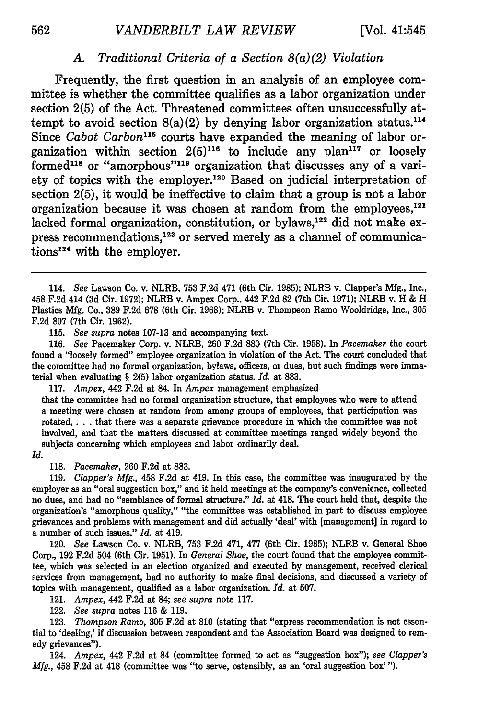# *A. Traditional Criteria of a Section 8(a)(2) Violation*

Frequently, the first question in an analysis of an employee committee is whether the committee qualifies as a labor organization under section **2(5)** of the Act. Threatened committees often unsuccessfully attempt to avoid section  $8(a)(2)$  by denying labor organization status.<sup>114</sup> Since *Cabot Carbon"15* courts have expanded the meaning of labor organization within section **2(5)16** to include any plan'17 or loosely formed<sup>118</sup> or "amorphous"<sup>119</sup> organization that discusses any of a variety of topics with the employer.<sup>120</sup> Based on judicial interpretation of section **2(5),** it would be ineffective to claim that a group is not a labor organization because it was chosen at random from the employees, $121$ lacked formal organization, constitution, or bylaws, 22 did not make **ex** press recommendations,<sup>123</sup> or served merely as a channel of communications<sup>124</sup> with the employer.

115. *See supra* notes 107-13 and accompanying text.

116. *See* Pacemaker Corp. v. NLRB, 260 F.2d 880 (7th Cir. 1958). In *Pacemaker* the court found a "loosely formed" employee organization in violation of the Act. The court concluded that the committee had no formal organization, bylaws, officers, or dues, but such findings were immaterial when evaluating § 2(5) labor organization status. *Id.* at 883.

117. *Ampex,* 442 F.2d at 84. In *Ampex* management emphasized

that the committee had no formal organization structure, that employees who were to attend a meeting were chosen at random from among groups of employees, that participation was rotated, . **.** . that there was a separate grievance procedure in which the committee was not involved, and that the matters discussed at committee meetings ranged widely beyond the subjects concerning which employees and labor ordinarily deal.

*Id.*

118. *Pacemaker,* 260 F.2d at 883.

119. *Clapper's Mfg.,* 458 F.2d at 419. In this case, the committee was inaugurated by the employer as an "oral suggestion box," and it held meetings at the company's convenience, collected no dues, and had no "semblance of formal structure." *Id.* at 418. The court held that, despite the organization's "amorphous quality," "the committee was established in part to discuss employee grievances and problems with management and did actually 'deal' with [management] in regard to a number of such issues." *Id.* at 419.

120. *See* Lawson Co. v. NLRB, 753 F.2d 471, 477 (6th Cir. 1985); NLRB v. General Shoe Corp., 192 F.2d 504 (6th Cir. 1951). In *General Shoe,* the court found that the employee committee, which was selected in an election organized and executed by management, received clerical services from management, had no authority to make final decisions, and discussed a variety of topics with management, qualified as a labor organization. *Id.* at 507.

121. *Ampex,* 442 F.2d at 84; *see supra* note 117.

122. *See supra* notes 116 & 119.

123. *Thompson Ramo,* 305 F.2d at 810 (stating that "express recommendation is not essential to 'dealing,' if discussion between respondent and the Association Board was designed to remedy grievances").

124. *Ampex,* 442 **F.2d** at 84 (committee formed to act as "suggestion box"); *see Clapper's Mfg.,* 458 **F.2d** at 418 (committee was "to serve, ostensibly, as an 'oral suggestion box' **").**

<sup>114.</sup> *See* Lawson Co. v. NLRB, 753 F.2d 471 (6th Cir. 1985); NLRB v. Clapper's Mfg., Inc., 458 F.2d 414 (3d Cir. 1972); NLRB v. Ampex Corp., 442 F.2d 82 (7th Cir. 1971); NLRB v. H & H Plastics Mfg. Co., 389 F.2d 678 (6th Cir. 1968); NLRB v. Thompson Ramo Wooldridge, Inc., 305 F.2d 807 (7th Cir. 1962).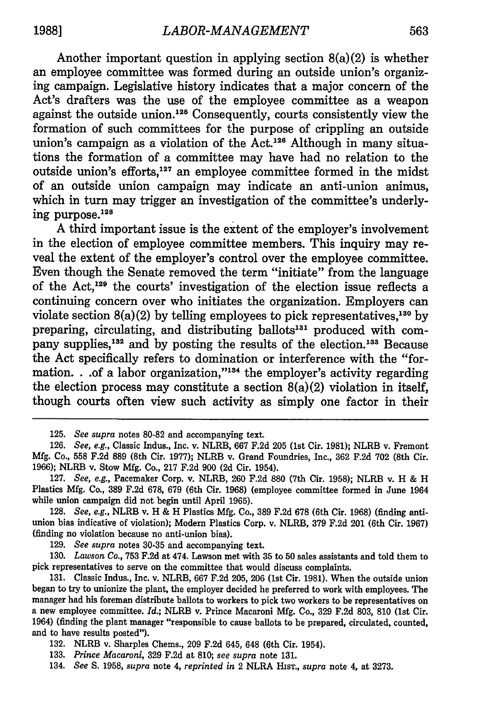Another important question in applying section  $8(a)(2)$  is whether an employee committee was formed during an outside union's organizing campaign. Legislative history indicates that a major concern of the Act's drafters was the use of the employee committee as a weapon against the outside union.<sup>125</sup> Consequently, courts consistently view the formation of such committees for the purpose of crippling an outside union's campaign as a violation of the Act.<sup>126</sup> Although in many situations the formation of a committee may have had no relation to the outside union's efforts, 127 an employee committee formed in the midst of an outside union campaign may indicate an anti-union animus, which in turn may trigger an investigation of the committee's underlying purpose. 12

**A** third important issue is the extent of the employer's involvement in the election of employee committee members. This inquiry may reveal the extent of the employer's control over the employee committee. Even though the Senate removed the term "initiate" from the language of the Act,'29 the courts' investigation of the election issue reflects a continuing concern over who initiates the organization. Employers can violate section 8(a)(2) **by** telling employees to pick representatives, <sup>130</sup>**by** preparing, circulating, and distributing ballots<sup>131</sup> produced with company supplies,<sup>132</sup> and by posting the results of the election.<sup>133</sup> Because the Act specifically refers to domination or interference with the "formation. . .of a labor organization,"<sup>134</sup> the employer's activity regarding the election process may constitute a section  $8(a)(2)$  violation in itself, though courts often view such activity as simply one factor in their

**129.** *See supra* notes **30-35** and accompanying text.

**130.** *Lawson Co.,* **753 F.2d** at 474. Lawson met with **35** to **50** sales assistants and told them to pick representatives to serve on the committee that would discuss complaints.

**131.** Classic Indus., Inc. v. NLRB, **667 F.2d 205, 206** (1st Cir. **1981).** When the outside union began to try to unionize the plant, the employer decided he preferred to work with employees. The manager had his foreman distribute ballots to workers to pick two workers to be representatives on a new employee committee. *Id.;* NLRB v. Prince Macaroni **Mfg.** Co., **329 F.2d 803, 810** (1st Cir. 1964) (finding the plant manager "responsible to cause ballots to be prepared, circulated, counted, and to have results posted").

**132.** NLRB v. Sharples Chems., **209 F.2d** 645, 648 (6th Cir. 1954).

134. *See* **S. 1958,** *supra* note 4, *reprinted in* 2 NLRA **HIST.,** *supra* note 4, at **3273.**

**<sup>125.</sup>** *See supra* notes **80-82** and accompanying text.

**<sup>126.</sup>** *See, e.g.,* Classic Indus., Inc. v. NLRB, **667 F.2d 205** (1st Cir. **1981);** NLRB v. Fremont **Mfg.** Co., **558 F.2d 889** (8th Cir. **1977);** NLRB v. Grand Foundries, Inc., **362 F.2d 702** (8th Cir. **1966);** NLRB v. Stow **Mfg.** Co., **217 F.2d 900 (2d** Cir. 1954).

**<sup>127.</sup>** *See, e.g.,* Pacemaker Corp. v. NLRB, **260 F.2d 880** (7th Cir. **1958);** NLRB v. H **&** H Plastics **Mfg.** Co., **389 F.2d 678, 679** (6th Cir. **1968)** (employee committee formed in June 1964 while union campaign did not begin until April **1965).**

**<sup>128.</sup>** *See, e.g.,* NLRB v. H **&** H Plastics **Mfg.** Co., **389 F.2d 678** (6th Cir. **1968)** (finding antiunion bias indicative of violation); Modern Plastics Corp. v. NLRB, **379 F.2d** 201 (6th Cir. **1967)** (finding no violation because no anti-union bias).

**<sup>133.</sup>** *Prince Macaroni,* **329 F.2d** at **810;** *see supra* note **131.**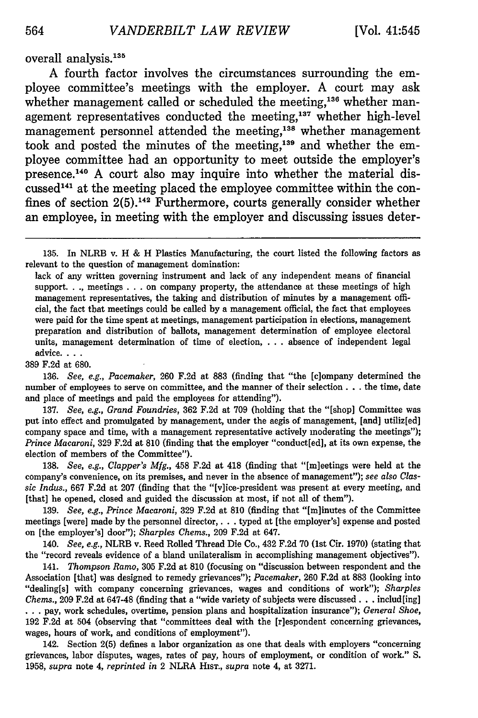overall analysis.<sup>135</sup>

**A** fourth factor involves the circumstances surrounding the employee committee's meetings with the employer. **A** court may ask whether management called or scheduled the meeting,<sup>136</sup> whether management representatives conducted the meeting,<sup>137</sup> whether high-level management personnel attended the meeting,<sup>138</sup> whether management took and posted the minutes of the meeting,<sup>139</sup> and whether the employee committee had an opportunity to meet outside the employer's presence.<sup>140</sup> A court also may inquire into whether the material discussed'4' at the meeting placed the employee committee within the confines of section **2(5).42** Furthermore, courts generally consider whether an employee, in meeting with the employer and discussing issues deter-

389 F.2d at 680.

136. *See, e.g., Pacemaker,* 260 F.2d at 883 (finding that "the [c]ompany determined the number of employees to serve on committee, and the manner of their selection. **. .** the time, date and place of meetings and paid the employees for attending").

137. *See, e.g., Grand Foundries,* 362 F.2d at 709 (holding that the "[shop] Committee was put into effect and promulgated by management, under the aegis of management, [and] utiliz[ed] company space and time, with a management representative actively moderating the meetings"); *Prince Macaroni,* 329 F.2d at 810 (finding that the employer "conduct[ed], at its own expense, the election of members of the Committee").

138. *See, e.g., Clapper's Mfg.,* 458 F.2d at 418 (finding that "[m]eetings were held at the company's convenience, on its premises, and never in the absence of management"); *see also* Clas*sic Indus.,* 667 F.2d at 207 (finding that the "[v]ice-president was present at every meeting, and [that] he opened, closed and guided the discussion at most, if not all of them").

139. *See, e.g., Prince Macaroni,* 329 F.2d at 810 (finding that "[m]inutes of the Committee meetings [were] made by the personnel director,. **. .** typed at [the employer's] expense and posted on [the employer's] door"); *Sharples Chems.,* 209 F.2d at 647.

140. *See, e.g.,* NLRB v. Reed Rolled Thread Die Co., 432 F.2d 70 (1st Cir. 1970) (stating that the "record reveals evidence of a bland unilateralism in accomplishing management objectives").

141. *Thompson Ramo,* 305 F.2d at 810 (focusing on "discussion between respondent and the Association [that] was designed to remedy grievances"); *Pacemaker,* 260 F.2d at 883 (looking into "dealing[s] with company concerning grievances, wages and conditions of work"); *Sharpies Chems.,* 209 F.2d at 647-48 (finding that a "wide variety of subjects were discussed. **. .** includ[ing] **...** pay, work schedules, overtime, pension plans and hospitalization insurance"); *General Shoe,* 192 F.2d at 504 (observing that "committees deal with the [r]espondent concerning grievances, wages, hours of work, and conditions of employment").

142. Section 2(5) defines a labor organization as one that deals with employers "concerning grievances, labor disputes, wages, rates of pay, hours of employment, or condition of work." S. 1958, *supra* note 4, *reprinted in* 2 NLRA **HIST.,** *supra* note 4, at 3271.

<sup>135.</sup> In NLRB v. H & H Plastics Manufacturing, the court listed the following factors as relevant to the question of management domination:

lack of any written governing instrument and lack of any independent means of financial support. . **.,** meetings **. . .** on company property, the attendance at these meetings of high management representatives, the taking and distribution of minutes by a management official, the fact that meetings could be called by a management official, the fact that employees were paid for the time spent at meetings, management participation in elections, management preparation and distribution of ballots, management determination of employee electoral units, management determination of time of election, ... absence of independent legal advice **...**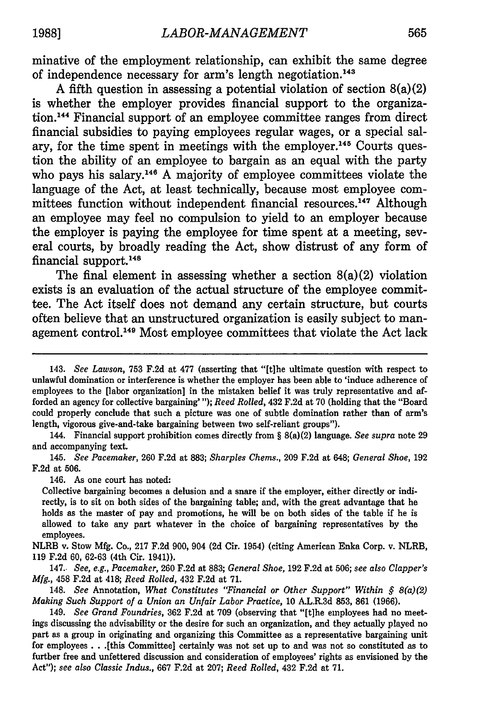minative of the employment relationship, can exhibit the same degree of independence necessary for arm's length negotiation.<sup>143</sup>

A fifth question in assessing a potential violation of section  $8(a)(2)$ is whether the employer provides financial support to the organization. 144 Financial support of an employee committee ranges from direct financial subsidies to paying employees regular wages, or a special salary, for the time spent in meetings with the employer.<sup>145</sup> Courts question the ability of an employee to bargain as an equal with the party who pays his salary.<sup>146</sup> A majority of employee committees violate the language of the Act, at least technically, because most employee committees function without independent financial resources.<sup>147</sup> Although an employee may feel no compulsion to yield to an employer because the employer is paying the employee for time spent at a meeting, several courts, by broadly reading the Act, show distrust of any form of financial support. <sup>48</sup>

The final element in assessing whether a section  $8(a)(2)$  violation exists is an evaluation of the actual structure of the employee committee. The Act itself does not demand any certain structure, but courts often believe that an unstructured organization is easily subject to management control. 49 Most employee committees that violate the Act lack

146. As one court has noted:

Collective bargaining becomes a delusion and a snare if the employer, either directly or indirectly, is to sit on both sides of the bargaining table; and, with the great advantage that he holds as the master of pay and promotions, he will be on both sides of the table if he is allowed to take any part whatever in the choice of bargaining representatives **by** the employees.

NLRB v. Stow **Mfg.** Co., **217 F.2d 900,** 904 **(2d** Cir. 1954) (citing American Enka Corp. v. NLRB, **119 F.2d 60, 62-63** (4th Cir. 1941)).

147.. *See, e.g., Pacemaker,* **260 F.2d** at **883;** *General Shoe,* **192 F.2d** at **506;** *see also Clapper's Mfg.,* 458 **F.2d** at 418; *Reed Rolled,* 432 **F.2d** at **71.**

148. *See* Annotation, *What Constitutes "Financial or Other Support" Within § 8(a)(2) Making Such Support of a Union an Unfair Labor Practice,* 10 A.L.R.3d 853, 861 (1966).

149. *See Grand Foundries,* 362 F.2d at 709 (observing that "[t]he employees had no meetings discussing the advisability or the desire for such an organization, and they actually played no part as a group in originating and organizing this Committee as a representative bargaining unit for employees **. .** .[this Committee] certainly was not set up to and was not so constituted as to further free and unfettered discussion and consideration of employees' rights as envisioned by the Act"); *see also Classic Indus.,* 667 F.2d at 207; *Reed Rolled,* 432 F.2d at 71.

<sup>143.</sup> *See Lawson,* 753 F.2d at 477 (asserting that "[tihe ultimate question with respect to unlawful domination or interference is whether the employer has been able to 'induce adherence of employees to the [labor organization] in the mistaken belief it was truly representative and afforded an agency for collective bargaining' "); *Reed Rolled,* 432 **F.2d** at **70** (holding that the "Board could properly conclude that such a picture was one of subtle domination rather than of arm's length, vigorous give-and-take bargaining between two self-reliant groups").

<sup>144.</sup> Financial support prohibition comes directly from § 8(a)(2) language. *See supra* note **29** and accompanying text.

<sup>145.</sup> *See Pacemaker,* **260 F.2d** at **883;** *Sharples Chems.,* **209 F.2d** at 648; *General Shoe,* **192 F.2d** at 506.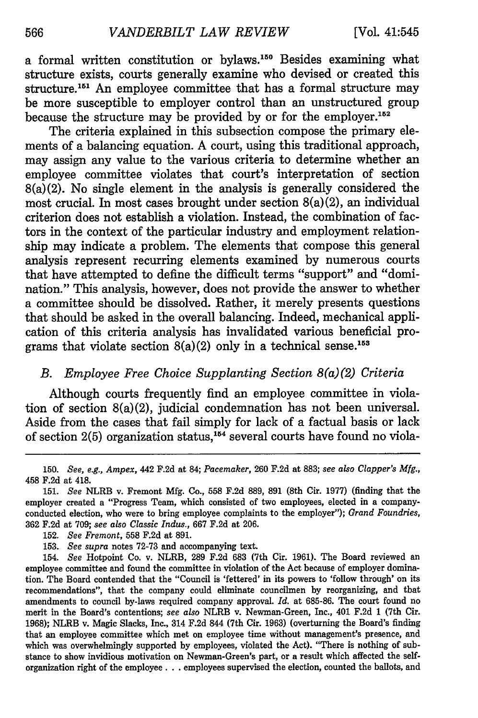a formal written constitution or bylaws.<sup>150</sup> Besides examining what structure exists, courts generally examine who devised or created this structure.151 An employee committee that has a formal structure may be more susceptible to employer control than an unstructured group because the structure may be provided by or for the employer.152

The criteria explained in this subsection compose the primary elements of a balancing equation. A court, using this traditional approach, may assign any value to the various criteria to determine whether an employee committee violates that court's interpretation of section 8(a)(2). No single element in the analysis is generally considered the most crucial. In most cases brought under section 8(a)(2), an individual criterion does not establish a violation. Instead, the combination of factors in the context of the particular industry and employment relationship may indicate a problem. The elements that compose this general analysis represent recurring elements examined by numerous courts that have attempted to define the difficult terms "support" and "domination." This analysis, however, does not provide the answer to whether a committee should be dissolved. Rather, it merely presents questions that should be asked in the overall balancing. Indeed, mechanical application of this criteria analysis has invalidated various beneficial programs that violate section  $8(a)(2)$  only in a technical sense.<sup>153</sup>

# *B. Employee Free Choice Supplanting Section 8(a)(2) Criteria*

Although courts frequently find an employee committee in violation of section 8(a)(2), judicial condemnation has not been universal. Aside from the cases that fail simply for lack of a factual basis or lack of section  $2(5)$  organization status,<sup>154</sup> several courts have found no viola-

150. *See, e.g., Ampex,* 442 F.2d at 84; *Pacemaker,* 260 F.2d at 883; *see also Clapper's Mfg.,* 458 F.2d at 418.

- 152. *See Fremont,* 558 F.2d at 891.
- 153. *See supra* notes 72-73 and accompanying text.

154. *See* Hotpoint Co. v. NLRB, 289 F.2d 683 (7th Cir. 1961). The Board reviewed an employee committee and found the committee in violation of the Act because of employer domination. The Board contended that the "Council is 'fettered' in its powers to 'follow through' on its recommendations", that the company could eliminate councilmen by reorganizing, and that amendments to council by-laws required company approval. *Id.* at 685-86. The court found no merit in the Board's contentions; *see also* NLRB v. Newman-Green, Inc., 401 F.2d 1 (7th Cir. 1968); NLRB v. Magic Slacks, Inc., 314 F.2d 844 (7th Cir. 1963) (overturning the Board's finding that an employee committee which met on employee time without management's presence, and which was overwhelmingly supported by employees, violated the Act). "There is nothing of substance to show invidious motivation on Newman-Green's part, or a result which affected the selforganization right of the employee **...** employees supervised the election, counted the ballots, and

<sup>151.</sup> *See* NLRB v. Fremont Mfg. Co., 558 F.2d 889, 891 (8th Cir. 1977) (finding that the employer created a "Progress Team, which consisted of two employees, elected in a companyconducted election, who were to bring employee complaints to the employer"); *Grand Foundries,* **362** F.2d at 709; *see also Classic Indus.,* 667 F.2d at 206.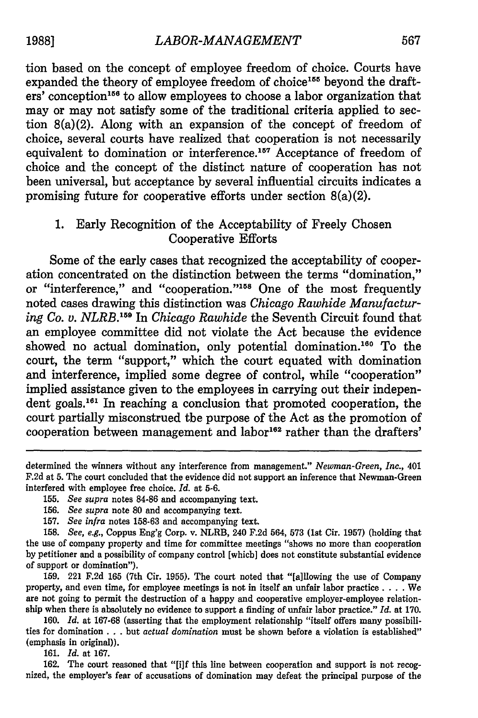tion based on the concept of employee freedom of choice. Courts have expanded the theory of employee freedom of choice<sup>155</sup> beyond the drafters' conception 156 to allow employees to choose a labor organization that may or may not satisfy some of the traditional criteria applied to section 8(a)(2). Along with an expansion of the concept of freedom of choice, several courts have realized that cooperation is not necessarily equivalent to domination or interference.<sup>157</sup> Acceptance of freedom of choice and the concept of the distinct nature of cooperation has not been universal, but acceptance by several influential circuits indicates a promising future for cooperative efforts under section 8(a)(2).

# 1. Early Recognition of the Acceptability of Freely Chosen Cooperative Efforts

Some of the early cases that recognized the acceptability of cooperation concentrated on the distinction between the terms "domination," or "interference," and "cooperation."<sup>158</sup> One of the most frequently noted cases drawing this distinction was *Chicago Rawhide Manufacturing Co. v. NLRB. 159 In Chicago Rawhide* the Seventh Circuit found that an employee committee did not violate the Act because the evidence showed no actual domination, only potential domination.<sup>160</sup> To the court, the term "support," which the court equated with domination and interference, implied some degree of control, while "cooperation" implied assistance given to the employees in carrying out their independent goals. 16' In reaching a conclusion that promoted cooperation, the court partially misconstrued the purpose of the Act as the promotion of cooperation between management and labor<sup>162</sup> rather than the drafters'

159. 221 F.2d 165 (7th Cir. 1955). The court noted that "[a]llowing the use of Company property, and even time, for employee meetings is not in itself an unfair labor practice **....** We are not going to permit the destruction of a happy and cooperative employer-employee relationship when there is absolutely no evidence to support a finding of unfair labor practice." *Id.* at **170.**

**160.** *Id.* at **167-68** (asserting that the employment relationship "itself offers many possibilities for domination **...** but *actual domination* must be shown before a violation is established" (emphasis in original)).

**161.** *Id.* at **167.**

**162.** The court reasoned that **"[i]f** this line between cooperation and support is not recognized, the employer's fear of accusations of domination may defeat the principal purpose of the

determined the winners without any interference from management." *Newman-Green, Inc.,* 401 F.2d at 5. The court concluded that the evidence did not support an inference that Newman-Green interfered with employee free choice. *Id.* at 5-6.

<sup>155.</sup> *See supra* notes 84-86 and accompanying text.

<sup>156.</sup> *See supra* note 80 and accompanying text.

<sup>157.</sup> *See infra* notes 158-63 and accompanying text.

<sup>158.</sup> *See, e.g.,* Coppus Eng'g Corp. v. NLRB, 240 F.2d 564, 573 (1st Cir. 1957) (holding that the use of company property and time for committee meetings "shows no more than cooperation by petitioner and a possibility of company control [which] does not constitute substantial evidence of support or domination").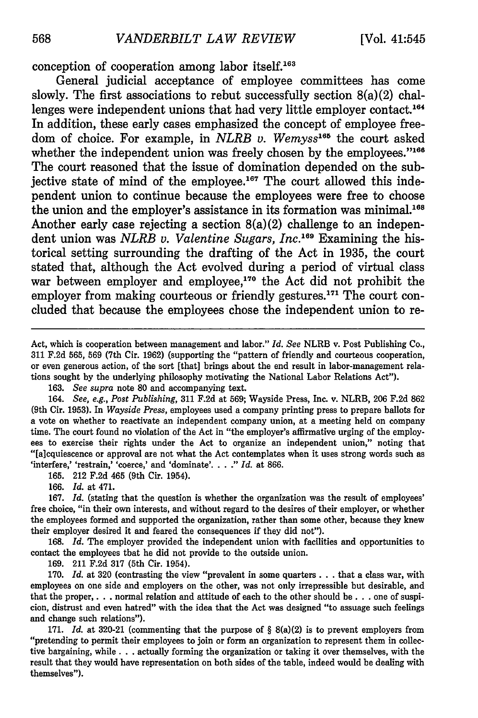conception of cooperation among labor itself.16

General judicial acceptance of employee committees has come slowly. The first associations to rebut successfully section  $8(a)(2)$  challenges were independent unions that had very little employer contact.<sup>164</sup> In addition, these early cases emphasized the concept of employee freedom of choice. For example, in *NLRB v. Wemyss*<sup>165</sup> the court asked whether the independent union was freely chosen by the employees."<sup>166</sup> The court reasoned that the issue of domination depended on the subjective state of mind of the employee.<sup>167</sup> The court allowed this independent union to continue because the employees were free to choose the union and the employer's assistance in its formation was minimal.<sup>168</sup> Another early case rejecting a section  $8(a)(2)$  challenge to an independent union was *NLRB v. Valentine Sugars, Inc.*<sup>169</sup> Examining the historical setting surrounding the drafting of the Act in **1935,** the court stated that, although the Act evolved during a period of virtual class war between employer and employee, $170$  the Act did not prohibit the employer from making courteous or friendly gestures. $171$  The court concluded that because the employees chose the independent union to re-

Act, which is cooperation between management and labor." *Id. See* NLRB v. Post Publishing Co., 311 F.2d 565, 569 (7th Cir. 1962) (supporting the "pattern of friendly and courteous cooperation, or even generous action, of the sort [that] brings about the end result in labor-management relations sought by the underlying philosophy motivating the National Labor Relations Act").

163. *See supra* note **80** and accompanying text.

164. *See, e.g., Post Publishing,* 311 F.2d at 569; Wayside Press, Inc. v. NLRB, 206 F.2d 862 (9th Cir. 1953). In *Wayside Press,* employees used a company printing press to prepare ballots for a vote on whether to reactivate an independent company union, at a meeting held on company time. The court found no violation of the Act in "the employer's affirmative urging of the employees to exercise their rights under the Act to organize an independent union," noting that "[a]cquiescence or approval are not what the Act contemplates when it uses strong words such as 'interfere,' 'restrain,' 'coerce,' and 'dominate'...." *Id.* at 866.

165. 212 F.2d 465 (9th Cir. 1954).

166. *Id.* at 471.

167. *Id.* (stating that the question is whether the organization was the result of employees' free choice, "in their own interests, and without regard to the desires of their employer, or whether the employees formed and supported the organization, rather than some other, because they knew their employer desired it and feared the consequences if they did not").

168. *Id.* The employer provided the independent union with facilities and opportunities to contact the employees that he did not provide to the outside union.

169. 211 F.2d 317 (5th Cir. 1954).

170. *Id.* at 320 (contrasting the view "prevalent in some quarters **...** that a class war, with employees on one side and employers on the other, was not only irrepressible but desirable, and that the proper, . **.** . normal relation and attitude of each to the other should be **...** one of suspicion, distrust and even hatred" with the idea that the Act was designed "to assuage such feelings and change such relations").

171. *Id.* at 320-21 (commenting that the purpose of § 8(a)(2) is to prevent employers from "pretending to permit their employees to join or form an organization to represent them in collective bargaining, while. **. .** actually forming the organization or taking it over themselves, with the result that they would have representation on both sides of the table, indeed would be dealing with themselves").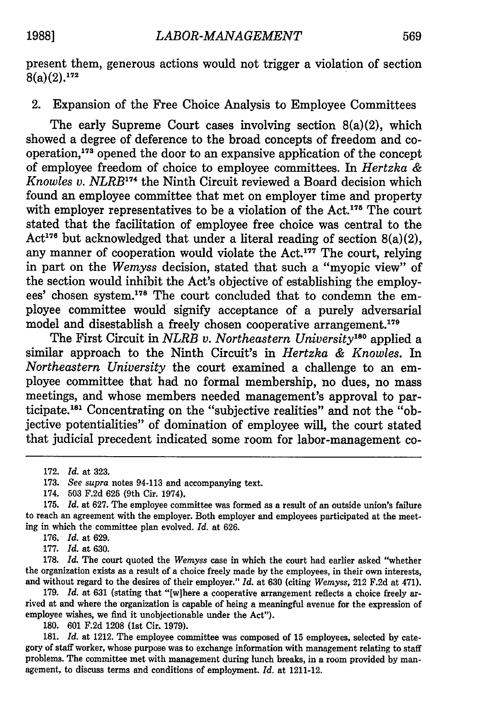present them, generous actions would not trigger a violation of section  $8(a)(2)$  <sup>172</sup>  $8(a)(2).$ <sup>172</sup>

2. Expansion of the Free Choice Analysis to Employee Committees

The early Supreme Court cases involving section 8(a)(2), which showed a degree of deference to the broad concepts of freedom and cooperation, <sup>17</sup> 3 opened the door to an expansive application of the concept of employee freedom of choice to employee committees. In *Hertzka & Knowles v. NLRB*<sup>174</sup> the Ninth Circuit reviewed a Board decision which found an employee committee that met on employer time and property with employer representatives to be a violation of the  $Act.<sup>175</sup>$  The court stated that the facilitation of employee free choice was central to the Act<sup>176</sup> but acknowledged that under a literal reading of section  $8(a)(2)$ , any manner of cooperation would violate the Act.<sup>177</sup> The court, relying in part on the *Wemyss* decision, stated that such a "myopic view" of the section would inhibit the Act's objective of establishing the employees' chosen system.<sup>178</sup> The court concluded that to condemn the employee committee would signify acceptance of a purely adversarial model and disestablish a freely chosen cooperative arrangement.<sup>179</sup>

The First Circuit in *NLRB v. Northeastern University"0* applied a similar approach to the Ninth Circuit's in *Hertzka & Knowles.* In *Northeastern University* the court examined a challenge to an employee committee that had no formal membership, no dues, no mass meetings, and whose members needed management's approval to participate.<sup>181</sup> Concentrating on the "subjective realities" and not the "objective potentialities" of domination of employee will, the court stated that judicial precedent indicated some room for labor-management co-

177. *Id.* at 630.

178. *Id.* The court quoted the *Wemyss* case in which the court had earlier asked "whether the organization exists as a result of a choice freely made **by** the employees, in their own interests, and without regard to the desires of their employer." *Id.* at **630** (citing *Wemyss,* 212 **F.2d** at 471).

**179.** *Id.* at **631** (stating that "[w]here a cooperative arrangement reflects a choice freely arrived at and where the organization is capable of being a meaningful avenue for the expression of employee wishes, we find it unobjectionable under the Act").

**180. 601 F.2d 1208** (1st Cir. **1979).**

**181.** *Id.* at 1212. The employee committee was composed of **15** employees, selected **by** category of staff worker, whose purpose was to exchange information with management relating to staff problems. The committee met with management during lunch breaks, in a room provided **by** management, to discuss terms and conditions of employment. *Id.* at 1211-12.

<sup>172.</sup> *Id.* at 323.

<sup>173.</sup> *See supra* notes 94-113 and accompanying text.

<sup>174. 503</sup> F.2d 625 (9th Cir. 1974).

<sup>175.</sup> *Id.* at 627. The employee committee was formed as a result of an outside union's failure to reach an agreement with the employer. Both employer and employees participated at the meeting in which the committee plan evolved. *Id.* at 626.

<sup>176.</sup> *Id.* at 629.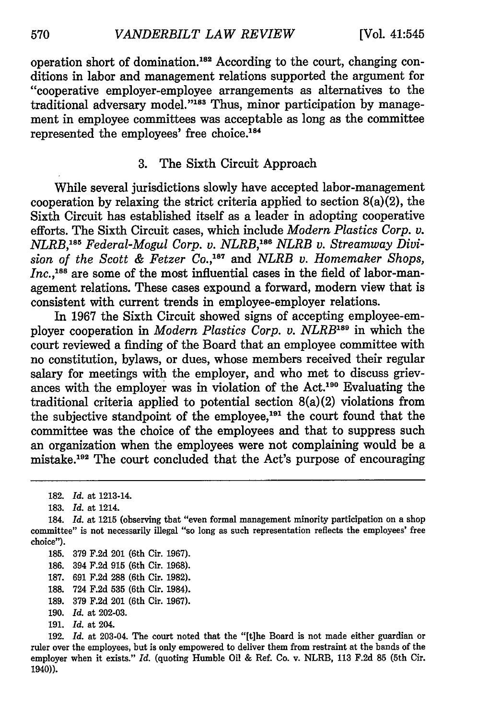operation short of domination.'82 According to the court, changing conditions in labor and management relations supported the argument for "cooperative employer-employee arrangements as alternatives to the traditional adversary model."<sup>183</sup> Thus, minor participation by management in employee committees was acceptable as long as the committee represented the employees' free choice.184

## 3. The Sixth Circuit Approach

While several jurisdictions slowly have accepted labor-management cooperation by relaxing the strict criteria applied to section  $8(a)(2)$ , the Sixth Circuit has established itself as a leader in adopting cooperative efforts. The Sixth Circuit cases, which include *Modern Plastics Corp. v.* MLRB,<sup>185</sup> Federal-Mogul Corp. v. NLRB,<sup>186</sup> NLRB v. Streamway Divi*sion of the Scott & Fetzer Co.,187* and *NLRB v. Homemaker Shops,* Inc.,<sup>188</sup> are some of the most influential cases in the field of labor-management relations. These cases expound a forward, modern view that is consistent with current trends in employee-employer relations.

In 1967 the Sixth Circuit showed signs of accepting employee-employer cooperation in *Modern Plastics Corp. v. NLRB*<sup>189</sup> in which the court reviewed a finding of the Board that an employee committee with no constitution, bylaws, or dues, whose members received their regular salary for meetings with the employer, and who met to discuss grievances with the employer was in violation of the Act.190 Evaluating the traditional criteria applied to potential section 8(a)(2) violations from the subjective standpoint of the employee, $191$  the court found that the committee was the choice of the employees and that to suppress such an organization when the employees were not complaining would be a mistake.<sup>192</sup> The court concluded that the Act's purpose of encouraging

- 185. 379 F.2d 201 (6th Cir. 1967).
- 186. 394 F.2d **915** (6th Cir. 1968).
- 187. 691 F.2d 288 (6th Cir. 1982).
- 188. 724 F.2d 535 (6th Cir. 1984).
- 189. 379 F.2d 201 (6th Cir. 1967).
- 190. *Id.* at 202-03.
- 191. *Id.* at 204.

<sup>182.</sup> *Id.* at 1213-14.

<sup>183.</sup> *Id.* at 1214.

<sup>184.</sup> *Id.* at 1215 (observing that "even formal management minority participation on a shop committee" is not necessarily illegal "so long as such representation reflects the employees' free choice").

<sup>192.</sup> *Id.* at 203-04. The court noted that the "[t]he Board is not made either guardian or ruler over the employees, but is only empowered to deliver them from restraint at the hands of the employer when it exists." *Id.* (quoting Humble Oil & Ref. Co. v. NLRB, 113 F.2d 85 (5th Cir. 1940)).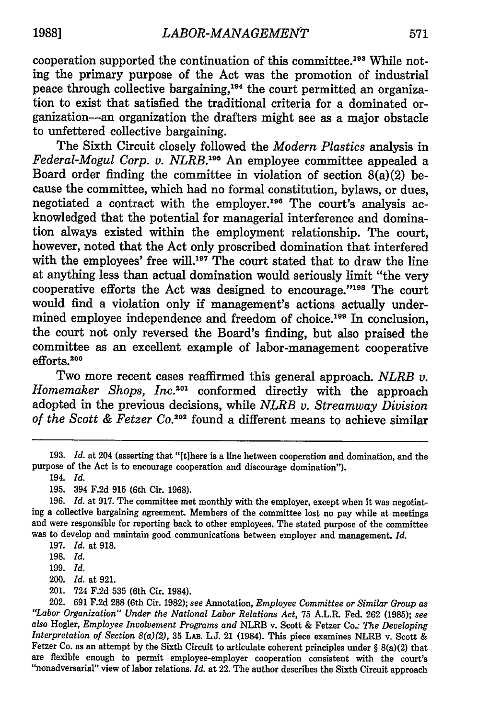cooperation supported the continuation of this committee.<sup>193</sup> While noting the primary purpose of the Act was the promotion of industrial peace through collective bargaining,<sup>194</sup> the court permitted an organization to exist that satisfied the traditional criteria for a dominated organization-an organization the drafters might see as a major obstacle to unfettered collective bargaining.

The Sixth Circuit closely followed the *Modern Plastics* analysis in *Federal-Mogul Corp. v. NLRB.*<sup>195</sup> An employee committee appealed a Board order finding the committee in violation of section  $8(a)(2)$  because the committee, which had no formal constitution, bylaws, or dues, negotiated a contract with the employer.<sup>196</sup> The court's analysis acknowledged that the potential for managerial interference and domination always existed within the employment relationship. The court, however, noted that the Act only proscribed domination that interfered with the employees' free will.<sup>197</sup> The court stated that to draw the line at anything less than actual domination would seriously limit "the very cooperative efforts the Act was designed to encourage."<sup>198</sup> The court would find a violation only if management's actions actually undermined employee independence and freedom of choice.<sup>199</sup> In conclusion, the court not only reversed the Board's finding, but also praised the committee as an excellent example of labor-management cooperative efforts.<sup>200</sup>

Two more recent cases reaffirmed this general approach. *NLRB v. Homemaker Shops, Inc.201* conformed directly with the approach adopted in the previous decisions, while *NLRB v. Streamway Division of the Scott & Fetzer Co. <sup>20</sup> <sup>2</sup>*found a different means to achieve similar

201. 724 F.2d 535 (6th Cir. 1984).

<sup>193.</sup> *Id.* at 204 (asserting that "[tihere is a line between cooperation and domination, and the purpose of the Act is to encourage cooperation and discourage domination").

<sup>194.</sup> *Id.*

<sup>195. 394</sup> F.2d 915 (6th Cir. 1968).

<sup>196.</sup> *Id.* at 917. The committee met monthly with the employer, except when it was negotiating a collective bargaining agreement. Members of the committee lost no pay while at meetings and were responsible for reporting back to other employees. The stated purpose of the committee was to develop and maintain good communications between employer and management. *Id.*

<sup>197.</sup> *Id.* at 918.

<sup>198.</sup> *Id.*

<sup>199.</sup> *Id.*

<sup>200.</sup> *Id.* at 921.

<sup>202. 691</sup> F.2d 288 (6th Cir. 1982); see Annotation, *Employee Committee or Similar Group as "Labor Organization" Under the National Labor Relations Act,* 75 A.L.R. Fed. 262 (1985); see *also* Hogler, *Employee Involvement Programs and* NLRB v. Scott & Fetzer Co.: *The Developing Interpretation of Section 8(a)(2),* 35 LAB. L.J. 21 (1984). This piece examines NLRB v. Scott & Fetzer Co. as an attempt by the Sixth Circuit to articulate coherent principles under  $\S 8(a)(2)$  that are flexible enough to permit employee-employer cooperation consistent with the court's "nonadversarial" view of labor relations. *Id.* at 22. The author describes the Sixth Circuit approach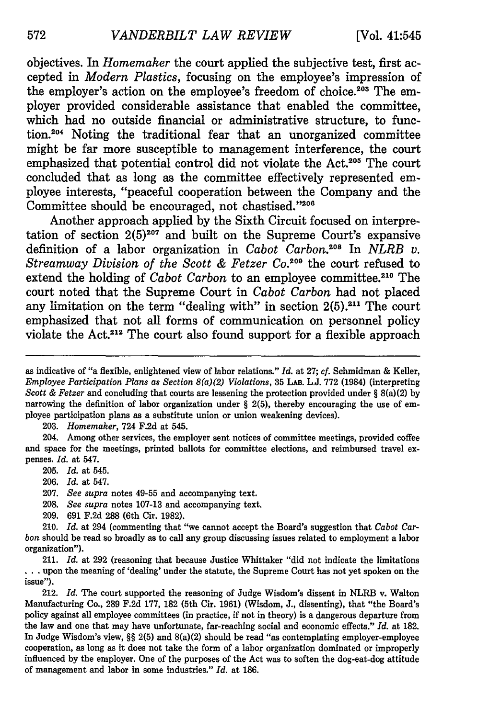objectives. In *Homemaker* the court applied the subjective test, first accepted in *Modern Plastics,* focusing on the employee's impression of the employer's action on the employee's freedom of choice.<sup>203</sup> The employer provided considerable assistance that enabled the committee, which had no outside financial or administrative structure, to function.<sup>204</sup> Noting the traditional fear that an unorganized committee might be far more susceptible to management interference, the court emphasized that potential control did not violate the Act.<sup>205</sup> The court concluded that as long as the committee effectively represented employee interests, "peaceful cooperation between the Company and the Committee should be encouraged, not chastised."206

Another approach applied by the Sixth Circuit focused on interpretation of section **2(5)207** and built on the Supreme Court's expansive definition of a labor organization in *Cabot Carbon. °8* In *NLRB v. Streamway Division of the Scott & Fetzer Co. <sup>20</sup> <sup>9</sup>*the court refused to extend the holding of *Cabot Carbon* to an employee committee.<sup>210</sup> The court noted that the Supreme Court in *Cabot Carbon* had not placed any limitation on the term "dealing with" in section **2(5).211** The court emphasized that not all forms of communication on personnel policy violate the Act.<sup>212</sup> The court also found support for a flexible approach

203. *Homemaker,* 724 F.2d at 545.

204. Among other services, the employer sent notices of committee meetings, provided coffee and space for the meetings, printed ballots for committee elections, and reimbursed travel expenses. *Id.* at 547.

- 205. *Id.* at 545.
- 206. *Id.* at 547.
- 207. *See supra* notes 49-55 and accompanying text.
- 208. *See supra* notes 107-13 and accompanying text.
- 209. 691 F.2d 288 (6th Cir. 1982).

212. *Id.* The court supported the reasoning of Judge Wisdom's dissent in NLRB v. Walton Manufacturing Co., 289 F.2d 177, 182 (5th Cir. 1961) (Wisdom, J., dissenting), that "the Board's policy against all employee committees (in practice, if not in theory) is a dangerous departure from the law and one that may have unfortunate, far-reaching social and economic effects." *Id.* at 182. In Judge Wisdom's view, §§ 2(5) and 8(a)(2) should be read "as contemplating employer-employee cooperation, as long as it does not take the form of a labor organization dominated or improperly influenced by the employer. One of the purposes of the Act was to soften the dog-eat-dog attitude of management and labor in some industries." *Id.* at 186.

as indicative of "a flexible, enlightened view of labor relations." *Id.* at 27; *cf.* Schmidman & Keller, *Employee Participation Plans as Section 8(a)(2) Violations,* **35** LAB. L.J. 772 (1984) (interpreting *Scott & Fetzer* and concluding that courts are lessening the protection provided under § 8(a)(2) by narrowing the definition of labor organization under **§** 2(5), thereby encouraging the use of employee participation plans as a substitute union or union weakening devices).

<sup>210.</sup> *Id.* at 294 (commenting that "we cannot accept the Board's suggestion that *Cabot Carbon* should be read so broadly as to call any group discussing issues related to employment a labor organization").

<sup>211.</sup> *Id.* at 292 (reasoning that because Justice Whittaker "did not indicate the limitations **..**.upon the meaning of 'dealing' under the statute, the Supreme Court has not yet spoken on the issue").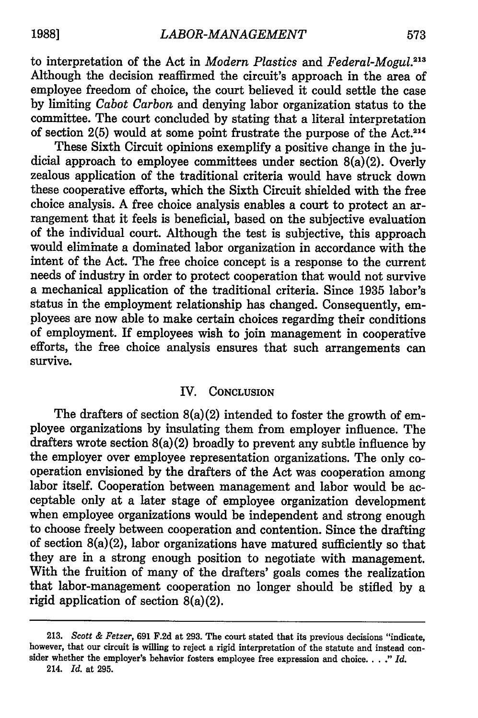to interpretation of the Act in *Modern Plastics and Federal-Mogul.213* Although the decision reaffirmed the circuit's approach in the area of employee freedom of choice, the court believed it could settle the case by limiting *Cabot Carbon* and denying labor organization status to the committee. The court concluded by stating that a literal interpretation of section  $2(5)$  would at some point frustrate the purpose of the Act.<sup>214</sup>

These Sixth Circuit opinions exemplify a positive change in the judicial approach to employee committees under section 8(a)(2). Overly zealous application of the traditional criteria would have struck down these cooperative efforts, which the Sixth Circuit shielded with the free choice analysis. A free choice analysis enables a court to protect an arrangement that it feels is beneficial, based on the subjective evaluation of the individual court. Although the test is subjective, this approach would eliminate a dominated labor organization in accordance with the intent of the Act. The free choice concept is a response to the current needs of industry in order to protect cooperation that would not survive a mechanical application of the traditional criteria. Since 1935 labor's status in the employment relationship has changed. Consequently, employees are now able to make certain choices regarding their conditions of employment. If employees wish to join management in cooperative efforts, the free choice analysis ensures that such arrangements can survive.

## IV. **CONCLUSION**

The drafters of section 8(a)(2) intended to foster the growth of employee organizations **by** insulating them from employer influence. The drafters wrote section 8(a)(2) broadly to prevent any subtle influence **by** the employer over employee representation organizations. The only cooperation envisioned **by** the drafters of the Act was cooperation among labor itself. Cooperation between management and labor would be acceptable only at a later stage of employee organization development when employee organizations would be independent and strong enough to choose freely between cooperation and contention. Since the drafting of section 8(a)(2), labor organizations have matured sufficiently so that they are in a strong enough position to negotiate with management. With the fruition of many of the drafters' goals comes the realization that labor-management cooperation no longer should be stifled **by** a rigid application of section 8(a)(2).

**<sup>213.</sup>** *Scott & Fetzer,* **691 F.2d** at **293.** The court stated that its previous decisions "indicate, however, that our circuit is willing to reject a rigid interpretation of the statute and instead consider whether the employer's behavior fosters employee free expression and choice. .. *Id.*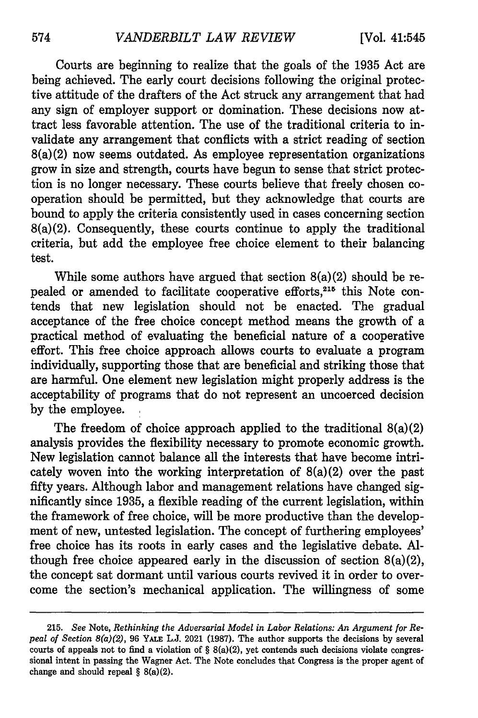Courts are beginning to realize that the goals of the 1935 Act are being achieved. The early court decisions following the original protective attitude of the drafters of the Act struck any arrangement that had any sign of employer support or domination. These decisions now attract less favorable attention. The use of the traditional criteria to invalidate any arrangement that conflicts with a strict reading of section 8(a)(2) now seems outdated. As employee representation organizations grow in size and strength, courts have begun to sense that strict protection is no longer necessary. These courts believe that freely chosen cooperation should be permitted, but they acknowledge that courts are bound to apply the criteria consistently used in cases concerning section 8(a)(2). Consequently, these courts continue to apply the traditional criteria, but add the employee free choice element to their balancing test.

While some authors have argued that section  $8(a)(2)$  should be repealed or amended to facilitate cooperative efforts,<sup>215</sup> this Note contends that new legislation should not be enacted. The gradual acceptance of the free choice concept method means the growth of a practical method of evaluating the beneficial nature of a cooperative effort. This free choice approach allows courts to evaluate a program individually, supporting those that are beneficial and striking those that are harmful. One element new legislation might properly address is the acceptability of programs that do not represent an uncoerced decision by the employee.

The freedom of choice approach applied to the traditional 8(a)(2) analysis provides the flexibility necessary to promote economic growth. New legislation cannot balance all the interests that have become intricately woven into the working interpretation of  $8(a)(2)$  over the past fifty years. Although labor and management relations have changed significantly since 1935, a flexible reading of the current legislation, within the framework of free choice, will be more productive than the development of new, untested legislation. The concept of furthering employees' free choice has its roots in early cases and the legislative debate. Although free choice appeared early in the discussion of section  $8(a)(2)$ , the concept sat dormant until various courts revived it in order to overcome the section's mechanical application. The willingness of some

<sup>215.</sup> *See* Note, *Rethinking the Adversarial Model in Labor Relations: An Argument for Repeal of Section 8(a)(2),* 96 YALE L.J. 2021 (1987). The author supports the decisions by several courts of appeals not to find a violation of  $\S 8(a)(2)$ , yet contends such decisions violate congressional intent in passing the Wagner Act. The Note concludes that Congress is the proper agent of change and should repeal § 8(a)(2).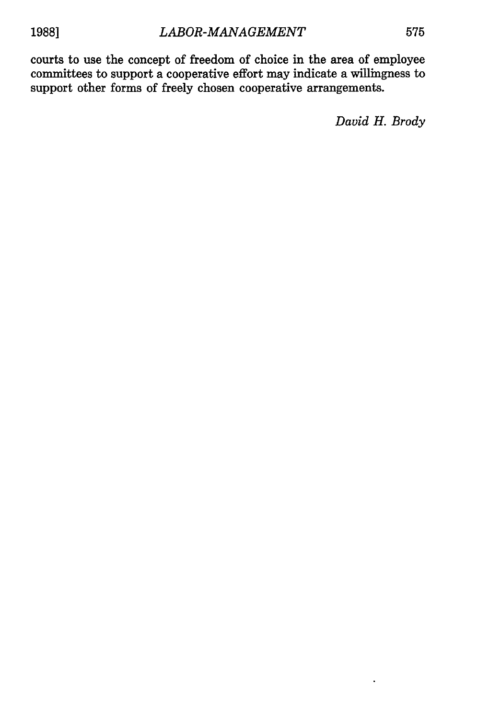courts to use the concept of freedom of choice in the area of employee committees to support a cooperative effort may indicate a willingness to support other forms of freely chosen cooperative arrangements.

*David H. Brody*

 $\ddot{\phantom{0}}$